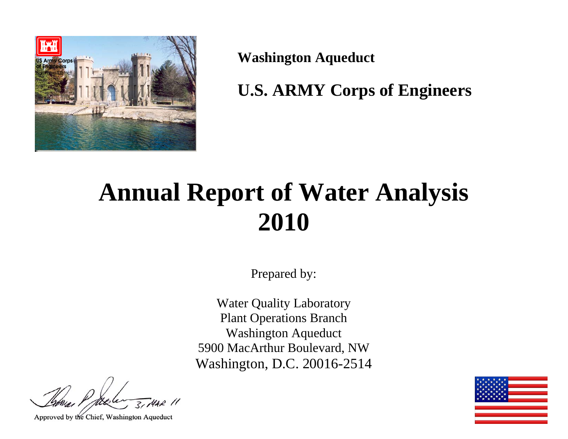

**Washington Aqueduct** 

**U.S. ARMY Corps of Engineers** 

# **Annual Report of Water Analysis 2010**

Prepared by:

Water Quality Laboratory Plant Operations Branch Washington Aqueduct 5900 MacArthur Boulevard, NW Washington, D.C. 20016-2514

Approved by the Chief, Washington Aqueduct

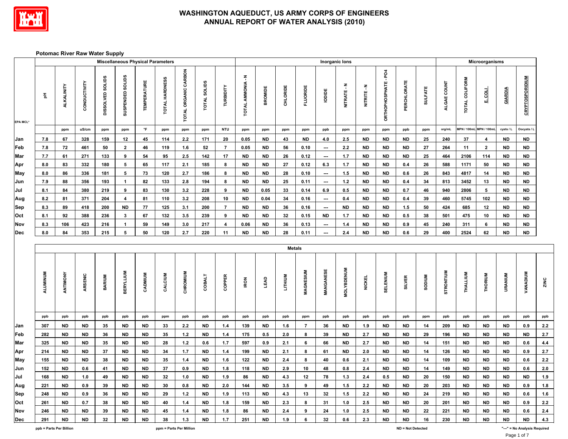

Г

#### **WASHINGTON AQUEDUCT, US ARMY CORPS OF ENGINEERS ANNUAL REPORT OF WATER ANALYSIS (2010)**

#### **Potomac River Raw Water Supply**

|                                  |           |                   |              |                  | <b>Miscellaneous Physical Parameters</b> |                    |                |                      |                     |                  |                          |                |                |                  |                          | Inorganic lons    |               |                      |               |                |                  |                       | Microorganisms |                |                        |                            |
|----------------------------------|-----------|-------------------|--------------|------------------|------------------------------------------|--------------------|----------------|----------------------|---------------------|------------------|--------------------------|----------------|----------------|------------------|--------------------------|-------------------|---------------|----------------------|---------------|----------------|------------------|-----------------------|----------------|----------------|------------------------|----------------------------|
| EPA MCL*                         | 품         | <b>ALKALINITY</b> | CONDUCTIVITY | DISSOLVED SOLIDS | SUSPENDED SOLIDS                         | <b>TEMPERATURE</b> | TOTAL HARDNESS | TOTAL ORGANIC CARBON | <b>TOTAL SOLIDS</b> | TURBIDITY        | <b>TOTAL AMMONIA - N</b> | <b>BROMIDE</b> | CHLORIDE       | <b>FLUORIDE</b>  | lopide                   | NITRATE-N         | NITRITE-N     | ORTHOPHOSPHATE - PO4 | PERCHLORATE   | <b>SULFATE</b> | ALGAE COUNT      | <b>TOTAL COLIFORM</b> | <b>TROST</b>   | GIARDIA        | <b>CRYPTOSPORIDIUM</b> |                            |
|                                  |           | ppm               | uS/cm        | ppm              | ppm                                      | $\,^{\circ}$ F     | ppm            | ppm                  | ppm                 | <b>NTU</b>       | ppm                      | ppm            | ppm            | ppm              | ppb                      | ppm               | ppm           | ppm                  | ppb           | ppm            | org/mL           | MPN / 100ml           | MPN / 100m     | cysts / L      | Oocysts / L            |                            |
| Jan                              | 7.8       | 67                | 328          | 159              | 12                                       | 45                 | 114            | 2.2                  | 171                 | 20               | 0.05                     | <b>ND</b>      | 43             | <b>ND</b>        | 4.0                      | 2.5               | <b>ND</b>     | ND                   | <b>ND</b>     | 25             | 240              | 37                    | 4              | <b>ND</b>      | ND                     |                            |
| $\mathop{\mathsf{Feb}}\nolimits$ | $\bf 7.8$ | ${\bf 72}$        | 461          | 50               | $\mathbf 2$                              | 46                 | 119            | 1.6                  | ${\bf 52}$          | $\overline{7}$   | 0.05                     | <b>ND</b>      | 56             | 0.10             | $\hspace{0.05cm} \cdots$ | $2.2\,$           | <b>ND</b>     | <b>ND</b>            | <b>ND</b>     | ${\bf 27}$     | 264              | 11                    | $\mathbf{2}$   | ${\sf ND}$     | <b>ND</b>              |                            |
| Mar                              | 7.7       | 61                | 271          | 133              | 9                                        | 54                 | 95             | 2.5                  | 142                 | 17               | <b>ND</b>                | <b>ND</b>      | 26             | 0.12             | $\hspace{0.05cm} \ldots$ | 1.7               | <b>ND</b>     | <b>ND</b>            | <b>ND</b>     | 25             | 464              | 2106                  | 114            | <b>ND</b>      | <b>ND</b>              |                            |
| Apr                              | 8.0       | 83                | 332          | 180              | 5                                        | 65                 | 117            | $2.1$                | 185                 | 8                | <b>ND</b>                | <b>ND</b>      | ${\bf 27}$     | 0.12             | 6.3                      | 1.7               | <b>ND</b>     | <b>ND</b>            | 0.4           | 26             | 588              | 1171                  | 50             | <b>ND</b>      | <b>ND</b>              |                            |
| May                              | $\bf 8.0$ | 86                | 336          | 181              | 5                                        | 73                 | 120            | 2.7                  | 186                 | 8                | <b>ND</b>                | <b>ND</b>      | 28             | 0.10             | $\overline{\phantom{a}}$ | 1.5               | <b>ND</b>     | <b>ND</b>            | 0.6           | 26             | 843              | 4817                  | 14             | <b>ND</b>      | <b>ND</b>              |                            |
| Jun                              | 7.9       | 88                | 356          | 193              | $\mathbf{1}$                             | 82                 | 133            | $2.8\,$              | 194                 | 8                | <b>ND</b>                | <b>ND</b>      | 25             | 0.11             | $\hspace{0.05cm} \cdots$ | $1.2$             | <b>ND</b>     | <b>ND</b>            | 0.4           | 34             | 813              | 3452                  | 13             | <b>ND</b>      | <b>ND</b>              |                            |
| Jul                              | 8.1       | 84                | 380          | 219              | 9                                        | 83                 | 130            | 3.2                  | 228                 | 9                | <b>ND</b>                | 0.05           | 33             | 0.14             | 6.9                      | $0.5\,$           | <b>ND</b>     | <b>ND</b>            | 0.7           | 46             | 940              | 2806                  | 5 <sub>5</sub> | <b>ND</b>      | ND                     |                            |
| Aug                              | 8.2       | 81                | 371          | 204              | 4                                        | 81                 | 110            | 3.2                  | 208                 | 10               | <b>ND</b>                | 0.04           | 34             | 0.16             | ---                      | 0.4               | <b>ND</b>     | ND                   | 0.4           | 39             | 460              | 5745                  | 102            | <b>ND</b>      | <b>ND</b>              |                            |
| Sep                              | 8.3       | 89                | 418          | 200              | <b>ND</b>                                | 77                 | 125            | 3.1                  | 200                 | $\overline{7}$   | <b>ND</b>                | <b>ND</b>      | 36             | 0.16             | ---                      | <b>ND</b>         | <b>ND</b>     | <b>ND</b>            | 1.5           | 50             | 424              | 685                   | 12             | <b>ND</b>      | ND                     |                            |
| Oct                              | 8.1       | 92                | 388          | 236              | $\mathbf 3$                              | 67                 | 132            | 3.5                  | 239                 | $\boldsymbol{9}$ | <b>ND</b>                | <b>ND</b>      | 32             | 0.15             | <b>ND</b>                | 1.7               | <b>ND</b>     | <b>ND</b>            | $0.5\,$       | 38             | 501              | 475                   | 10             | <b>ND</b>      | <b>ND</b>              |                            |
| Nov                              | 8.3       | 106               | 423          | 216              | $\mathbf{1}$                             | 59                 | 149            | 3.0                  | 217                 | 4                | 0.06                     | <b>ND</b>      | 36             | 0.13             | $\overline{\phantom{a}}$ | 1.4               | <b>ND</b>     | <b>ND</b>            | 0.9           | 45             | 240              | 311                   | 6              | <b>ND</b>      | ND                     |                            |
| Dec                              | 8.0       | 84                | 353          | 215              | 5                                        | 50                 | 120            | 2.7                  | 220                 | 11               | <b>ND</b>                | <b>ND</b>      | 28             | 0.11             | ---                      | 2.4               | <b>ND</b>     | <b>ND</b>            | 0.6           | 29             | 400              | 2524                  | 62             | <b>ND</b>      | <b>ND</b>              |                            |
|                                  |           |                   |              |                  |                                          |                    |                |                      |                     |                  |                          |                | <b>Metals</b>  |                  |                          |                   |               |                      |               |                |                  |                       |                |                |                        |                            |
|                                  | ALUMINUM  | ANTIMONY          | ARSENIC      | <b>BARIUM</b>    | <b>BERYLLIUM</b>                         | CADMIUM            | CALCIUM        | CHROMIUM             | COBALT              | COPPER           | <b>IRON</b>              | LEAD           | <b>LITHIUM</b> | <b>MAGNESIUM</b> | MANGANESE                | <b>MOLYBDENUM</b> | <b>NICKEL</b> | SELENIUM             | <b>SILVER</b> | <b>SODIUM</b>  | <b>STRONTIUM</b> | THALLIUM              | THORIUM        | <b>URANIUM</b> | <b>VANADIUM</b>        | ZINC                       |
|                                  | ppb       | ppb               | ppb          | ppb              | ppb                                      | ppb                | ppm            | ppb                  | ppb                 | ppb              | ppb                      | ppb            | ppb            | ppm              | ppb                      | ppb               | ppb           | ppb                  | ppb           | ppm            | ppb              | ppb                   | ppb            | ppb            | ppb                    | ppb                        |
| Jan                              | 307       | <b>ND</b>         | <b>ND</b>    | 35               | <b>ND</b>                                | <b>ND</b>          | 33             | 2.2                  | <b>ND</b>           | 1.4              | 139                      | <b>ND</b>      | 1.6            | $\overline{7}$   | 36                       | <b>ND</b>         | 1.9           | ND                   | <b>ND</b>     | 14             | 209              | <b>ND</b>             | <b>ND</b>      | <b>ND</b>      | 0.9                    | 2.2                        |
| Feb                              | 282       | <b>ND</b>         | <b>ND</b>    | 36               | <b>ND</b>                                | <b>ND</b>          | 35             | $1.2$                | <b>ND</b>           | $1.4$            | 175                      | 0.5            | 2.0            | 8                | 39                       | <b>ND</b>         | 2.7           | <b>ND</b>            | <b>ND</b>     | 29             | 196              | <b>ND</b>             | <b>ND</b>      | <b>ND</b>      | $\mathsf{ND}$          | 2.7                        |
| Mar                              | 325       | <b>ND</b>         | <b>ND</b>    | 35               | <b>ND</b>                                | <b>ND</b>          | 28             | $1.2$                | 0.6                 | 1.7              | 597                      | 0.9            | 2.1            | 6                | 66                       | <b>ND</b>         | 2.7           | <b>ND</b>            | <b>ND</b>     | 14             | 151              | <b>ND</b>             | <b>ND</b>      | <b>ND</b>      | 0.6                    | 4.4                        |
| Apr                              | 214       | <b>ND</b>         | <b>ND</b>    | 37               | <b>ND</b>                                | <b>ND</b>          | 34             | $1.7$                | <b>ND</b>           | 1.4              | 199                      | <b>ND</b>      | 2.1            | 8                | 61                       | <b>ND</b>         | 2.0           | <b>ND</b>            | <b>ND</b>     | 14             | 126              | <b>ND</b>             | <b>ND</b>      | <b>ND</b>      | 0.9                    | 2.7                        |
| May                              | 155       | <b>ND</b>         | ND           | 38               | <b>ND</b>                                | <b>ND</b>          | 35             | $1.4\,$              | <b>ND</b>           | 1.6              | 122                      | <b>ND</b>      | 2.4            | 8                | 40                       | 0.6               | 2.1           | ${\sf ND}$           | <b>ND</b>     | 14             | 109              | <b>ND</b>             | ${\sf ND}$     | <b>ND</b>      | $0.6\,$                | 2.2                        |
| Jun                              | 152       | <b>ND</b>         | 0.6          | 41               | <b>ND</b>                                | <b>ND</b>          | 37             | 0.9                  | <b>ND</b>           | 1.8              | 118                      | <b>ND</b>      | 2.9            | 10               | 48                       | 0.8               | 2.4           | <b>ND</b>            | <b>ND</b>     | 14             | 149              | <b>ND</b>             | <b>ND</b>      | <b>ND</b>      | 0.6                    | 2.0                        |
| Jul                              | 168       | <b>ND</b>         | 1.0          | 49               | <b>ND</b>                                | <b>ND</b>          | 32             | 1.0                  | <b>ND</b>           | 1.9              | 86                       | <b>ND</b>      | 4.3            | 12               | 78                       | 1.3               | 2.4           | 0.5                  | <b>ND</b>     | 20             | 150              | <b>ND</b>             | <b>ND</b>      | <b>ND</b>      | <b>ND</b>              | $1.9$                      |
| Aug                              | 221       | <b>ND</b>         | 0.9          | 39               | <b>ND</b>                                | <b>ND</b>          | 30             | 0.8                  | <b>ND</b>           | 2.0              | 144                      | <b>ND</b>      | 3.5            | 9                | 49                       | $1.5\,$           | $2.2\,$       | <b>ND</b>            | <b>ND</b>     | 20             | 203              | <b>ND</b>             | ${\sf ND}$     | <b>ND</b>      | $0.9\,$                | 1.8                        |
| Sep                              | 248       | <b>ND</b>         | 0.9          | 36               | <b>ND</b>                                | <b>ND</b>          | 29             | $1.2$                | <b>ND</b>           | 1.9              | 113                      | <b>ND</b>      | 4.3            | 13               | 32                       | 1.5               | 2.2           | <b>ND</b>            | <b>ND</b>     | 24             | 219              | <b>ND</b>             | <b>ND</b>      | <b>ND</b>      | 0.6                    | $\underline{\mathbf{1.6}}$ |
| Oct                              | 261       | <b>ND</b>         | 0.7          | 38               | <b>ND</b>                                | <b>ND</b>          | 40             | $1.4$                | <b>ND</b>           | 1.8              | 159                      | <b>ND</b>      | 2.3            | 8                | 31                       | 1.0               | 2.5           | <b>ND</b>            | <b>ND</b>     | 20             | 201              | <b>ND</b>             | <b>ND</b>      | <b>ND</b>      | 0.9                    | 2.2                        |
| Nov                              | 246       | <b>ND</b>         | <b>ND</b>    | 39               | <b>ND</b>                                | <b>ND</b>          | 45             | 1.4                  | <b>ND</b>           | 1.8              | 86                       | <b>ND</b>      | 2.4            | 9                | 24                       | 1.0               | 2.5           | <b>ND</b>            | <b>ND</b>     | 22             | 221              | <b>ND</b>             | <b>ND</b>      | <b>ND</b>      | $0.6\,$                | 2.4                        |
| Dec                              | 291       | <b>ND</b>         | <b>ND</b>    | 32               | <b>ND</b>                                | <b>ND</b>          | 38             | $1.3$                | <b>ND</b>           | 1.7              | 251                      | <b>ND</b>      | 1.9            | 6                | 32                       | 0.6               | 2.3           | <b>ND</b>            | <b>ND</b>     | 16             | 230              | <b>ND</b>             | <b>ND</b>      | <b>ND</b>      | <b>ND</b>              | 4.3                        |

T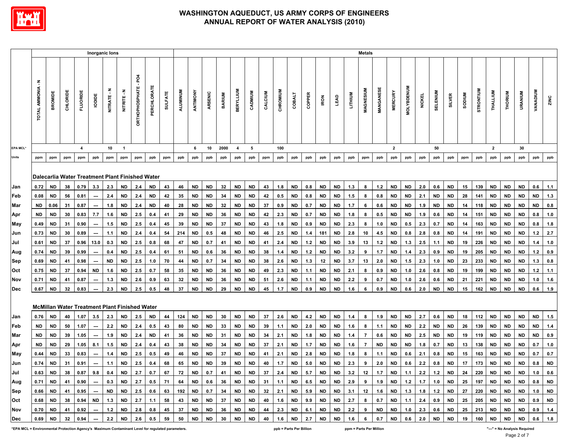

|                 |                   |           |         |                         | Inorganic lons           |                     |                                                 |                             |             |                |          |           |           |                 |                  |           |         |             |               |                                         |           |           |                              | <b>Metals</b>  |           |                  |                  |               |           |           |               |           |              |           |           |                                                                                                                                      |           |
|-----------------|-------------------|-----------|---------|-------------------------|--------------------------|---------------------|-------------------------------------------------|-----------------------------|-------------|----------------|----------|-----------|-----------|-----------------|------------------|-----------|---------|-------------|---------------|-----------------------------------------|-----------|-----------|------------------------------|----------------|-----------|------------------|------------------|---------------|-----------|-----------|---------------|-----------|--------------|-----------|-----------|--------------------------------------------------------------------------------------------------------------------------------------|-----------|
|                 | TOTAL AMMONIA - N | BROMDE    | CHLORID | <b>FLUORIDE</b>         | lopipe                   | Ŧ<br><b>NITRATE</b> | Ŧ<br>NITRITE.                                   | <b>DRTHOPHOSPHATE - PO4</b> | PERCHLORATE | <b>SULFATE</b> | ALUMINUM | ANTIMONY  | ARSENIC   | <b>BARIUM</b>   | <b>BERYLLIUM</b> | CADMIUM   | CALCIUM | CHROMIUM    | <b>COBALT</b> | COPPER                                  | RON       | LEAD      | <b>UTHIUM</b>                | MAGNESIUM      | MANGANES  | <b>MERCURY</b>   | <b>MOLYBDENU</b> | <b>NICKEL</b> | SELENIUM  | SILVER    | <b>NUIDOS</b> | STRONTIUM | THALLIUM     | THORIUM   | URANIUM   | VANADIUM                                                                                                                             | ZINC      |
| <b>EPA MCL*</b> |                   |           |         | $\overline{\mathbf{4}}$ |                          | 10                  | $\overline{1}$                                  |                             |             |                |          | 6         | 10        | 2000            | $\overline{4}$   | 5         |         | 100         |               |                                         |           |           |                              |                |           | $\overline{2}$   |                  |               | 50        |           |               |           | $\mathbf{2}$ |           | 30        |                                                                                                                                      |           |
| Units           | ppm               | ppm       | ppm     | ppm                     | ppb                      | ppm                 | ppm                                             | ppm                         | ppb         | ppm            | ppb      | ppb       | ppb       | ppb             | ppb              | ppb       | ppm     | ppb         | ppb           | ppb                                     | ppb       | ppb       | ppb                          | ppm            | ppb       | ppb              | ppb              | ppb           | ppb       | ppb       | ppm           | ppb       | ppb          | ppb       | ppb       | ppb                                                                                                                                  | ppb       |
|                 |                   |           |         |                         |                          |                     | Dalecarlia Water Treatment Plant Finished Water |                             |             |                |          |           |           |                 |                  |           |         |             |               |                                         |           |           |                              |                |           |                  |                  |               |           |           |               |           |              |           |           |                                                                                                                                      |           |
| Jan             | 0.72              | <b>ND</b> | 38      | 0.79                    | 3.3                      | 2.3                 | <b>ND</b>                                       | 2.4                         | <b>ND</b>   | 43             | 46       | <b>ND</b> | <b>ND</b> | 32              | <b>ND</b>        | <b>ND</b> | 43      | 1.8         | <b>ND</b>     | 0.8                                     | <b>ND</b> | <b>ND</b> | 1.3                          | 8              | $1.2$     | <b>ND</b>        | <b>ND</b>        | 2.0           | 0.6       | <b>ND</b> | 15            | 139       | <b>ND</b>    | <b>ND</b> | <b>ND</b> | 0.6                                                                                                                                  | 1.1       |
| Feb             | 0.08              | <b>ND</b> | 56      | 0.81                    | $\hspace{0.05cm} \cdots$ | 2.4                 | ND                                              | 2.4                         | <b>ND</b>   | 42             | 35       | ND        | <b>ND</b> | 34              | ND               | <b>ND</b> | 42      | 0.5         | ND            | 0.8                                     | <b>ND</b> | <b>ND</b> | 1.5                          | 8              | 0.8       | <b>ND</b>        | <b>ND</b>        | 2.1           | <b>ND</b> | ND        | 28            | 141       | ND.          | ND.       | <b>ND</b> | <b>ND</b>                                                                                                                            | 1.3       |
| Mar             | ND                | 0.06      | -31     | 0.87                    |                          | 1.8                 | <b>ND</b>                                       | 2.4                         | ND          | 40             | 28       | ND        | ND        | 32              | ND               | ND        | 37      | 0.9         | <b>ND</b>     | 0.7                                     | ND        | <b>ND</b> | 1.7                          | 6              | 0.6       | <b>ND</b>        | ND               | 1.9           | <b>ND</b> | ND        | 14            | 118       | ND           | ND        | ND        | ND                                                                                                                                   | 0.8       |
| Apr             | <b>ND</b>         | <b>ND</b> | 30      | 0.83                    | 7.7                      | 1.6                 | <b>ND</b>                                       | 2.5                         | 0.4         | 41             | 29       | ND        | ND        | 36              | ND               | <b>ND</b> | 42      | 2.3         | ND            | 0.7                                     | ND        | <b>ND</b> | 1.8                          | 8              | 0.5       | <b>ND</b>        | <b>ND</b>        | 1.9           | 0.6       | <b>ND</b> | 14            | 151       | ND           | <b>ND</b> | ND        | 0.8                                                                                                                                  | $1.0$     |
| May             | 0.49              | <b>ND</b> | 31      | 0.90                    | $\hspace{0.05cm} \cdots$ | 1.5                 | <b>ND</b>                                       | 2.5                         | 0.4         | 45             | 39       | <b>ND</b> | ND        | 37              | ND               | ND        | 43      | 1.8         | ND            | 0.9                                     | <b>ND</b> | <b>ND</b> | 2.3                          | 8              | 1.0       | <b>ND</b>        | $0.5\,$          | 2.3           | 0.7       | <b>ND</b> | 14            | 163       | ND           | <b>ND</b> | <b>ND</b> | 0.8                                                                                                                                  | 1.8       |
| Jun             | 0.73              | <b>ND</b> | 30      | 0.89                    | $\hspace{0.05cm} \cdots$ | 1.1                 | <b>ND</b>                                       | 2.4                         | 0.4         | 54             | 214      | <b>ND</b> | 0.5       | 48              | <b>ND</b>        | <b>ND</b> | 46      | 2.5         | <b>ND</b>     | 1.4                                     | 181       | <b>ND</b> | 2.8                          | 10             | 4.5       | <b>ND</b>        | $0.8\,$          | 2.8           | 0.8       | <b>ND</b> | 14            | 191       | <b>ND</b>    | ND        | <b>ND</b> | 1.2                                                                                                                                  | 2.7       |
| Jul             | 0.61              | <b>ND</b> | 37      | 0.96                    | 13.0                     | 0.3                 | <b>ND</b>                                       | 2.5                         | 0.8         | 68             | 47       | <b>ND</b> | 0.7       | 41              | ND               | <b>ND</b> | 41      | 2.4         | <b>ND</b>     | $1.2$                                   | <b>ND</b> | <b>ND</b> | 3.9                          | 13             | $1.2$     | <b>ND</b>        | 1.3              | 2.5           | 1.1       | <b>ND</b> | 19            | 226       | <b>ND</b>    | <b>ND</b> | <b>ND</b> | 1.4                                                                                                                                  | 1.0       |
| Aug             | 0.74              | <b>ND</b> | 39      | 0.99                    | ---                      | 0.4                 | <b>ND</b>                                       | 2.5                         | 0.4         | 61             | 51       | <b>ND</b> | 0.6       | 36              | ND.              | <b>ND</b> | 38      | 1.4         | <b>ND</b>     | $1.2$                                   | <b>ND</b> | <b>ND</b> | 3.2                          | 9              | 1.7       | <b>ND</b>        | 1.4              | 2.3           | 0.9       | <b>ND</b> | 19            | 205       | <b>ND</b>    | <b>ND</b> | <b>ND</b> | 1.2                                                                                                                                  | 0.9       |
| Sep             | 0.69              | ND        | 41      | 0.98                    | ---                      | <b>ND</b>           | <b>ND</b>                                       | 2.5                         | 1.0         | 70             | 44       | ND        | 0.7       | 34              | ND               | ND        | 38      | 2.6         | <b>ND</b>     | 1.3                                     | 12        | <b>ND</b> | 3.7                          | 13             | 2.0       | <b>ND</b>        | 1.5              | 2.3           | 1.0       | ND        | 23            | 233       | ND           | <b>ND</b> | ND        | 1.3                                                                                                                                  | 0.8       |
| Oct             | 0.75              | <b>ND</b> | 37      | 0.94                    | ND                       | 1.6                 | <b>ND</b>                                       | 2.5                         | 0.7         | 58             | 35       | ND        | ND        | 36              | ND               | <b>ND</b> | 49      | 2.3         | ND            | 1.1                                     | <b>ND</b> | ND        | 2.1                          | 8              | 0.9       | <b>ND</b>        | 1.0              | 2.6           | 0.8       | ND        | 19            | 199       | ND           | <b>ND</b> | <b>ND</b> | $1.2$                                                                                                                                | 1.1       |
| Nov             | 0.71              | <b>ND</b> | 41      | 0.87                    | ---                      | 1.3                 | <b>ND</b>                                       | 2.6                         | 0.9         | 63             | 32       | <b>ND</b> | <b>ND</b> | 36              | ND               | <b>ND</b> | 51      | 2.6         | <b>ND</b>     | 1.1                                     | <b>ND</b> | <b>ND</b> | 2.2                          | 9              | 0.7       | <b>ND</b>        | 1.0              | 2.6           | 0.6       | ND        | 21            | 221       | ND           | <b>ND</b> | <b>ND</b> | 1.0                                                                                                                                  | 1.6       |
| Dec             | 0.67              | <b>ND</b> | 32      | 0.83                    | ---                      | 2.3                 | <b>ND</b>                                       | 2.5                         | 0.5         | 48             | 37       | <b>ND</b> | <b>ND</b> | 29              | <b>ND</b>        | $\sf ND$  | 45      | 1.7         | <b>ND</b>     | 0.9                                     | <b>ND</b> | <b>ND</b> | 1.6                          | 6              | 0.9       | <b>ND</b>        | 0.6              | 2.0           | <b>ND</b> | <b>ND</b> | 15            | 162       | <b>ND</b>    | <b>ND</b> | <b>ND</b> | 0.6                                                                                                                                  | 1.9       |
|                 |                   |           |         |                         |                          |                     |                                                 |                             |             |                |          |           |           |                 |                  |           |         |             |               |                                         |           |           |                              |                |           |                  |                  |               |           |           |               |           |              |           |           |                                                                                                                                      |           |
|                 |                   |           |         |                         |                          |                     | McMillan Water Treatment Plant Finished Water   |                             |             |                |          |           |           |                 |                  |           |         |             |               |                                         |           |           |                              |                |           |                  |                  |               |           |           |               |           |              |           |           |                                                                                                                                      |           |
| Jan             | 0.76              | <b>ND</b> | 40      | 1.07                    | 3.5                      | 2.3                 | <b>ND</b>                                       | 2.5                         | ND          | 44             | 124      | <b>ND</b> | <b>ND</b> | 30              | <b>ND</b>        | <b>ND</b> | 37      | 2.6         | <b>ND</b>     | 4.2                                     | <b>ND</b> | <b>ND</b> | 1.4                          | 8              | 1.9       | <b>ND</b>        | <b>ND</b>        | 2.7           | 0.6       | <b>ND</b> | 18            | 112       | ND           | <b>ND</b> | ND .      | <b>ND</b>                                                                                                                            | 1.5       |
| Feb             | ND                | <b>ND</b> | 50      | 1.07                    | $\hspace{0.05cm} \cdots$ | 2.2                 | <b>ND</b>                                       | 2.4                         | 0.5         | 43             | 80       | ND        | ND        | 33              | ND               | <b>ND</b> | 39      | 1.1         | ND            | 2.0                                     | <b>ND</b> | ND        | 1.6                          | 8              | 1.1       | <b>ND</b>        | <b>ND</b>        | 2.2           | <b>ND</b> | ND        | 26            | 139       | ND           | <b>ND</b> | ND        | ND                                                                                                                                   | $1.4$     |
| Mar             | <b>ND</b>         | <b>ND</b> | 39      | 1.05                    | $\hspace{0.05cm} \cdots$ | 1.9                 | <b>ND</b>                                       | 2.4                         | <b>ND</b>   | 41             | 36       | <b>ND</b> | <b>ND</b> | 31              | ND               | ND        | 34      | 2.1         | <b>ND</b>     | 1.8                                     | <b>ND</b> | <b>ND</b> | 1.4                          | $\overline{7}$ | 0.6       | <b>ND</b>        | <b>ND</b>        | 2.5           | <b>ND</b> | <b>ND</b> | 19            | 119       | ND           | <b>ND</b> | <b>ND</b> | <b>ND</b>                                                                                                                            | 0.9       |
| Apr             | ND                | <b>ND</b> | 29      | 1.05                    | 8.1                      | 1.5                 | <b>ND</b>                                       | 2.4                         | 0.4         | 43             | 38       | ND        | <b>ND</b> | 34              | ND               | <b>ND</b> | 37      | 2.1         | ND            | 1.7                                     | <b>ND</b> | <b>ND</b> | 1.6                          | $\overline{7}$ | <b>ND</b> | <b>ND</b>        | <b>ND</b>        | 1.8           | 0.7       | ND        | 13            | 138       | ND.          | ND        | <b>ND</b> | 0.7                                                                                                                                  | 1.0       |
| May             | 0.44              | ND        | 33      | 0.83                    | $\overline{\phantom{a}}$ | 1.4                 | <b>ND</b>                                       | 2.5                         | 0.5         | 49             | 46       | ND        | ND        | 37              | ND               | <b>ND</b> | 41      | 2.1         | ND            | 2.8                                     | <b>ND</b> | <b>ND</b> | 1.8                          | 8              | 1.1       | <b>ND</b>        | 0.6              | 2.1           | 0.8       | <b>ND</b> | 15            | 163       | <b>ND</b>    | <b>ND</b> | <b>ND</b> | 0.7                                                                                                                                  | 0.7       |
| Jun             | 0.74              | <b>ND</b> | 31      | 0.91                    | $\hspace{0.05cm} \cdots$ | 1.1                 | <b>ND</b>                                       | 2.5                         | 0.4         | 68             | 65       | <b>ND</b> | <b>ND</b> | 39              | <b>ND</b>        | <b>ND</b> | 40      | 1.7         | <b>ND</b>     | 5.0                                     | <b>ND</b> | <b>ND</b> | 2.3                          | 9              | 2.0       | <b>ND</b>        | 0.6              | 2.2           | 0.8       | <b>ND</b> | 17            | 173       | <b>ND</b>    | <b>ND</b> | <b>ND</b> | 0.8                                                                                                                                  | <b>ND</b> |
| Jul             |                   |           |         |                         |                          |                     |                                                 |                             |             |                |          |           |           |                 |                  |           |         |             |               |                                         |           |           |                              |                |           |                  |                  |               |           |           |               |           |              |           |           | 0.63 ND 38 0.87 9.8 0.4 ND 2.7 0.7 67 72 ND 0.7 41 ND ND 37 2.4 ND 5.7 ND ND 3.2 12 1.7 ND 1.1 2.2 1.2 ND 24 220 ND ND ND ND 1.0 0.6 |           |
| Aug             | $0.71$ ND         |           | 41      | 0.90                    |                          |                     | $-$ 0.3 ND 2.7 0.5 71                           |                             |             |                | 64       | <b>ND</b> | 0.6       |                 |                  |           |         |             |               | 36   ND   ND   31   1.1   ND   6.5   ND |           |           |                              |                |           |                  |                  |               |           |           |               |           |              |           |           | ND   2.9   9   1.9   ND   1.2   1.7   1.0   ND   25   197   ND   ND   0.8   ND                                                       |           |
| Sep             | $0.66$ ND         |           | 41      | 0.95                    | $\sim$                   |                     | ND ND 2.5 0.6 63                                |                             |             |                | 192      | <b>ND</b> | 0.7       |                 |                  |           |         |             |               | 34   ND   ND   32   2.1   ND   5.9   ND |           | <b>ND</b> | 3.1 12 1.6 ND 1.3 1.8 1.2 ND |                |           |                  |                  |               |           |           |               |           |              |           |           | 27 220 ND ND ND 1.0 ND                                                                                                               |           |
| Oct             | 0.68              | ND        | 38      | 0.94                    | <b>ND</b>                | 1.3                 |                                                 | ND 2.7 1.1                  |             | 58             | 43       | <b>ND</b> | <b>ND</b> | 37              | ND               | ND        |         | 40   1.6 ND |               | 9.9                                     | <b>ND</b> | <b>ND</b> | 2.7                          | 8              |           | $0.7$ ND         |                  | $1.1$ 2.4     | 0.9       | <b>ND</b> | 25            | 205       |              |           |           | ND   ND   ND   0.9   ND                                                                                                              |           |
| Nov             | 0.70              | ND        | 41      | 0.92                    | $\sim$                   | 1.2                 |                                                 | ND 2.8                      | 0.8         | 45             | 37       | $\sf ND$  | <b>ND</b> | 36              | <b>ND</b>        | <b>ND</b> | 44      | 2.3         | <b>ND</b>     | 6.1                                     | <b>ND</b> | <b>ND</b> | 2.2                          | 9              | <b>ND</b> | <b>ND</b>        |                  | $1.0$ 2.3     | 0.6       | <b>ND</b> | 25            | 213       | <b>ND</b>    | ND        | ND        | $0.9$ 1.4                                                                                                                            |           |
| Dec             | 0.69              | <b>ND</b> | 32      | 0.94                    | $\overline{\phantom{a}}$ | 2.2                 |                                                 |                             | ND 2.6 0.5  | 59             | 50       | <b>ND</b> | <b>ND</b> | 30 <sub>2</sub> | <b>ND</b>        | <b>ND</b> |         | 40   1.6 ND |               | 2.7                                     | <b>ND</b> | <b>ND</b> | 1.6                          | 6              |           | $0.7$ ND 0.6 2.0 |                  |               | <b>ND</b> | <b>ND</b> | 19            | 160       | ND           |           |           | ND ND 0.6 1.8                                                                                                                        |           |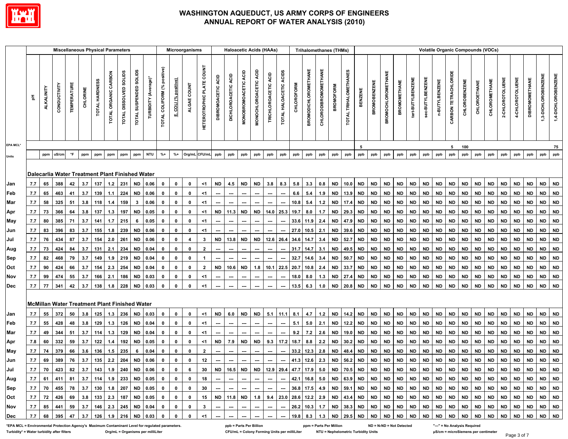

|            |            |                   |                                                        |                     |          |                |                      | <b>Miscellaneous Physical Parameters</b> |                        |                      |                             |                            | Microorganisms |                                  |                    |                               | <b>Haloacetic Acids (HAAs)</b> |                       |                          |                        |                   | <b>Trihalomethanes (THMs)</b> |                      |                        |                       |           |                        |                           |                        |                   |                  |                |                             | <b>Volatile Organic Compounds (VOCs)</b> |                        |               |                 |                 |                       |                            |                         |
|------------|------------|-------------------|--------------------------------------------------------|---------------------|----------|----------------|----------------------|------------------------------------------|------------------------|----------------------|-----------------------------|----------------------------|----------------|----------------------------------|--------------------|-------------------------------|--------------------------------|-----------------------|--------------------------|------------------------|-------------------|-------------------------------|----------------------|------------------------|-----------------------|-----------|------------------------|---------------------------|------------------------|-------------------|------------------|----------------|-----------------------------|------------------------------------------|------------------------|---------------|-----------------|-----------------|-----------------------|----------------------------|-------------------------|
|            | 玉          | <b>ALKALINITY</b> | CONDUCTIVITY                                           | <b>TEMPERATURE</b>  | CHLORINE | TOTAL HARDNESS | TOTAL ORGANIC CARBON | TOTAL DISSOLVED SOLIDS                   | TOTAL SUSPENDED SOLIDS | TURBIDITY (Average)* | TOTAL COLIFORM (% positive) | E. COLI (% positive)       | ALGAE COUNT    | <b>HETEROTROPHIC PLATE COUNT</b> | DIBROMOACETIC ACID | ACID<br><b>DICHLOROACETIC</b> | MONOBROMOACETIC ACID           | MONOCHLOROACETIC ACID | TRICHLOROACETIC ACID     | TOTAL HALOACETIC ACIDS | <b>CHLOROFORM</b> | <b>BROMODICHLOROMETHANE</b>   | CHLORODIBROMOMETHANE | <b>BROMOFORM</b>       | TOTAL TRIHALOMETHANES | BENZENE   | <b>BROMOBENZENE</b>    | <b>BROMOCHLOROMETHANE</b> | <b>BROMOMETHANE</b>    | tert-BUTYLBENZENE | 96c-BUTYLBENZENE | n-BUTYLBENZENE | <b>CARBON TETRACHLORIDE</b> | CHLOROBENZENE                            | CHLOROETHANE           | CHLOROMETHANE | 2-CHLOROTOLUENE | 4-CHLOROTOLUENE | <b>DIBROMOMETHANE</b> | 1,3-DICHLOROBENZENE        | 1,4-DICHLOROBENZENE     |
| EPA MCL*   |            |                   |                                                        |                     |          |                |                      |                                          |                        |                      |                             |                            |                |                                  |                    |                               |                                |                       |                          |                        |                   |                               |                      |                        |                       | 5         |                        |                           |                        |                   |                  |                | 5                           | 100                                      |                        |               |                 |                 |                       |                            | 75                      |
| Units      |            | ppm               | uS/cm                                                  | $^\circ \mathsf{F}$ | ppm      | ppm            | ppm                  | ppm                                      | ppm                    | <b>NTU</b>           | $% +$                       | $% +$                      | Org/mL CFU/mL  |                                  | ppb                | ppb                           | ppb                            | ppb                   | ppb                      | ppb                    | ppb               | ppb                           | ppb                  | ppb                    | ppb                   | ppb       | ppb                    | ppb                       | ppb                    | ppb               | ppb              | ppb            | ppb                         | ppb                                      | ppb                    | ppb           | ppb             | ppb             | ppb                   | ppb                        | ppb                     |
| Jan        | 7.7        | 65                | Dalecarlia Water Treatment Plant Finished Water<br>388 | 42                  | 3.7      | 137            | 1.2                  | 231                                      | <b>ND</b>              | 0.06                 | 0                           | $\mathbf 0$                | $\pmb{0}$      | $<$ 1                            | <b>ND</b>          | 4.5                           | <b>ND</b>                      | <b>ND</b>             | 3.8                      | 8.3                    | 5.8               | 3.3                           | 0.8                  | <b>ND</b>              | 10.0                  | <b>ND</b> | <b>ND</b>              | <b>ND</b>                 | <b>ND</b>              | <b>ND</b>         | <b>ND</b>        | <b>ND</b>      | <b>ND</b>                   | <b>ND</b>                                | <b>ND</b>              | <b>ND</b>     | <b>ND</b>       | <b>ND</b>       | <b>ND</b>             | <b>ND</b>                  | <b>ND</b>               |
| Feb        | 7.7        | 65                | 463                                                    | 41                  | 3.7      | 139            | 1.1                  | 224                                      | <b>ND</b>              | 0.06                 | 0                           | $\mathbf 0$                | $\pmb{0}$      | $\leq$ 1                         |                    |                               |                                |                       | ---                      |                        | 6.6               | 5.4                           | 1.9                  | <b>ND</b>              | 13.9                  | <b>ND</b> | <b>ND</b>              | <b>ND</b>                 | <b>ND</b>              | <b>ND</b>         | <b>ND</b>        | <b>ND</b>      | <b>ND</b>                   | <b>ND</b>                                | <b>ND</b>              | <b>ND</b>     | <b>ND</b>       | <b>ND</b>       | <b>ND</b>             | $\mathsf{ND}$              | $\mathsf{ND}$           |
|            | 7.7        | 58                | 325                                                    | 51                  | 3.8      | 118            | 1.4                  | 159                                      | $\mathbf{3}$           | 0.06                 | 0                           | $\mathbf 0$                | $\bf{0}$       | $\leq$ 1                         |                    |                               |                                |                       |                          |                        | 10.8              | 5.4                           | $1.2$                | <b>ND</b>              | 17.4                  | <b>ND</b> | <b>ND</b>              | <b>ND</b>                 | <b>ND</b>              | <b>ND</b>         | <b>ND</b>        | <b>ND</b>      | <b>ND</b>                   | <b>ND</b>                                | <b>ND</b>              | <b>ND</b>     | <b>ND</b>       | <b>ND</b>       | <b>ND</b>             | $\mathsf{ND}$              | <b>ND</b>               |
| Mar        | 7.7        | 73                | 366                                                    | 64                  | 3.8      | 137            | 1.3                  | 197                                      | <b>ND</b>              | 0.05                 | 0                           | $\mathbf 0$                | $\bf{0}$       | $<$ 1                            | $\mathsf{ND}$      | 11.3                          | <b>ND</b>                      | ND                    | 14.0                     | 25.3                   | 19.7              | 8.0                           | 1.7                  | <b>ND</b>              | 29.3                  | <b>ND</b> | <b>ND</b>              | <b>ND</b>                 | <b>ND</b>              | <b>ND</b>         | <b>ND</b>        | <b>ND</b>      | <b>ND</b>                   | <b>ND</b>                                | <b>ND</b>              | <b>ND</b>     | <b>ND</b>       | <b>ND</b>       | <b>ND</b>             | $\mathsf{ND}$              | $\sf ND$                |
| Apr        |            | 80                | 385                                                    | 71                  | 3.7      | 141            | 1.7                  | 215                                      | 6                      | 0.05                 |                             | $\pmb{0}$                  | $\pmb{0}$      | $\leq$ 1                         |                    | ---                           |                                |                       | $\overline{a}$           | $\overline{a}$         |                   | 33.6 11.9                     | 2.4                  | <b>ND</b>              | 47.9                  | <b>ND</b> | <b>ND</b>              | <b>ND</b>                 |                        | <b>ND</b>         | <b>ND</b>        | <b>ND</b>      |                             | <b>ND</b>                                | <b>ND</b>              | <b>ND</b>     | <b>ND</b>       | <b>ND</b>       | <b>ND</b>             | $\mathsf{ND}$              | ${\sf ND}$              |
| May        | 7.7<br>7.7 | 83                | 396                                                    | 83                  | 3.7      | 155            | 1.8                  | 239                                      | <b>ND</b>              | 0.06                 | 0<br>0                      | $\pmb{0}$                  | $\pmb{0}$      | $\leq$ 1                         |                    |                               |                                |                       |                          |                        | 27.0              | 10.5                          | 2.1                  | <b>ND</b>              | 39.6                  | <b>ND</b> | <b>ND</b>              | <b>ND</b>                 | <b>ND</b><br><b>ND</b> | <b>ND</b>         | <b>ND</b>        | <b>ND</b>      | <b>ND</b><br><b>ND</b>      | <b>ND</b>                                | <b>ND</b>              | <b>ND</b>     | <b>ND</b>       | <b>ND</b>       | <b>ND</b>             | $\mathsf{ND}$              | $\mathsf{ND}$           |
| Jun        |            | 76                | 434                                                    | 87                  | 3.7      | 154            | 2.0                  | 261                                      |                        |                      | 0                           | $\mathbf 0$                | 4              | 3                                | <b>ND</b>          | 13.8                          | <b>ND</b>                      | <b>ND</b>             | 12.6                     | 26.4                   | 34.6              |                               | 3.4                  | <b>ND</b>              | 52.7                  | <b>ND</b> |                        | <b>ND</b>                 | <b>ND</b>              | <b>ND</b>         | <b>ND</b>        | <b>ND</b>      | <b>ND</b>                   | <b>ND</b>                                |                        | <b>ND</b>     | <b>ND</b>       | <b>ND</b>       | <b>ND</b>             |                            | <b>ND</b>               |
| Jul        | 7.7<br>7.7 | 73                | 424                                                    | 84                  | 3.7      | 131            | 2.1                  | 234                                      | <b>ND</b><br><b>ND</b> | 0.06<br>0.04         | 0                           | $\mathbf 0$                | $\pmb{0}$      | $\mathbf{2}$                     | ---                | ---                           | $\overline{\phantom{a}}$       | ---                   | $\overline{\phantom{a}}$ | ---                    | 31.7              | 14.7<br>14.7                  | 3.1                  | <b>ND</b>              | 49.5                  | <b>ND</b> | <b>ND</b><br><b>ND</b> | <b>ND</b>                 | <b>ND</b>              | <b>ND</b>         | <b>ND</b>        | <b>ND</b>      | <b>ND</b>                   | <b>ND</b>                                | <b>ND</b><br><b>ND</b> | <b>ND</b>     | <b>ND</b>       | <b>ND</b>       | <b>ND</b>             | <u>ND</u><br>$\mathsf{ND}$ | <b>ND</b>               |
| Aug        | 7.7        | 82                | 468                                                    | 79                  | 3.7      | 149            | 1.9                  | 219                                      | <b>ND</b>              | 0.04                 | 0                           | $\mathbf 0$                | $\bf{0}$       |                                  | ---                |                               |                                |                       | ---                      |                        | 32.7              | 14.6                          | 3.4                  | <b>ND</b>              | 50.7                  | <b>ND</b> | <b>ND</b>              | <b>ND</b>                 | <b>ND</b>              | <b>ND</b>         | <b>ND</b>        | <b>ND</b>      | <b>ND</b>                   | <b>ND</b>                                | <b>ND</b>              | <b>ND</b>     | <b>ND</b>       | <b>ND</b>       | <b>ND</b>             | <b>ND</b>                  | $\mathsf{ND}$           |
| Sep<br>Oct | 7.7        | 90                | 424                                                    | 66                  | 3.7      | 154            | 2.3                  | 254                                      | <b>ND</b>              | 0.04                 | 0                           | $\pmb{0}$                  | $\pmb{0}$      | $\overline{2}$                   | <b>ND</b>          | 10.6                          | <b>ND</b>                      | 1.8                   | 10.1                     | 22.5                   | 20.7              | 10.8                          | 2.4                  | <b>ND</b>              | 33.7                  | <b>ND</b> | <b>ND</b>              | <b>ND</b>                 | <b>ND</b>              | <b>ND</b>         | <b>ND</b>        | <b>ND</b>      | <b>ND</b>                   | <b>ND</b>                                | <b>ND</b>              | <b>ND</b>     | <b>ND</b>       | <b>ND</b>       | <b>ND</b>             | $\mathsf{ND}$              | $\mathsf{ND}$           |
| Nov        | 7.7        | 99                | 474                                                    | 55                  | 3.7      | 166            | 2.1                  | 186                                      | <b>ND</b>              | 0.03                 | $\mathbf 0$                 | $\mathbf 0$                | $\bf{0}$       | $<$ 1                            | ---                | ---                           | ---                            | ---                   | ---                      | ---                    | 18.0              | 8.0                           | 1.3                  | <b>ND</b>              | 27.4                  | <b>ND</b> | <b>ND</b>              | <b>ND</b>                 | <b>ND</b>              | <b>ND</b>         | <b>ND</b>        | <b>ND</b>      | <b>ND</b>                   | <b>ND</b>                                | <b>ND</b>              | <b>ND</b>     | <b>ND</b>       | <b>ND</b>       | <b>ND</b>             | $\mathsf{ND}$              | $\mathsf{ND}$           |
| Dec        | 7.7        | 77                | 341                                                    | 42                  | 3.7      | 138            | 1.8                  | 228                                      | <b>ND</b>              | 0.03                 | $\mathbf 0$                 | $\pmb{0}$                  | $\pmb{0}$      | $<$ 1                            |                    |                               |                                |                       | ---                      |                        |                   | $13.5$ 6.3                    | 1.0                  | <b>ND</b>              | 20.8                  | <b>ND</b> | <b>ND</b>              | <b>ND</b>                 | <b>ND</b>              | <b>ND</b>         | <b>ND</b>        | <b>ND</b>      | ND                          | <b>ND</b>                                | <b>ND</b>              | <b>ND</b>     | <b>ND</b>       | <b>ND</b>       | <b>ND</b>             | <b>ND</b>                  | <b>ND</b>               |
|            |            |                   | <b>McMillan Water Treatment Plant Finished Water</b>   |                     |          |                |                      |                                          |                        |                      |                             |                            |                |                                  |                    |                               |                                |                       |                          |                        |                   |                               |                      |                        |                       |           |                        |                           |                        |                   |                  |                |                             |                                          |                        |               |                 |                 |                       |                            |                         |
| Jan        | 7.7        | 55                | 372                                                    | 50                  | 3.8      | 125            | 1.3                  | 236                                      | <b>ND</b>              | 0.03                 | 0                           | $\mathbf 0$                | $\mathbf 0$    | $<$ 1                            | <b>ND</b>          | 6.0                           | <b>ND</b>                      | <b>ND</b>             | 5.1                      | 11.1                   | 8.1               | 4.7                           | $1.2$                | <b>ND</b>              | 14.2                  | <b>ND</b> | <b>ND</b>              | <b>ND</b>                 | <b>ND</b>              | <b>ND</b>         | $\sf ND$         | <b>ND</b>      | <b>ND</b>                   | <b>ND</b>                                | <b>ND</b>              | $\sf ND$      | <b>ND</b>       | <b>ND</b>       | <b>ND</b>             | $\sf ND$                   | <b>ND</b>               |
| Feb        | 7.7        | 55                | 428                                                    | 48                  | 3.8      | 129            | 1.3                  | 126                                      | <b>ND</b>              | 0.04                 | 0                           | $\mathbf 0$                | $\mathbf 0$    | $\leq$ 1                         |                    |                               |                                |                       |                          |                        | 5.1               | 5.0                           | 2.1                  | <b>ND</b>              | 12.2                  | <b>ND</b> | <b>ND</b>              | <b>ND</b>                 | <b>ND</b>              | <b>ND</b>         | <b>ND</b>        | <b>ND</b>      | <b>ND</b>                   | <b>ND</b>                                | <b>ND</b>              | <b>ND</b>     | <b>ND</b>       | <b>ND</b>       | <b>ND</b>             | <b>ND</b>                  | <b>ND</b>               |
| Mar        | 7.7        | 49                | 344                                                    | 51                  | 3.7      | 114            | 1.3                  | 129                                      | <b>ND</b>              | 0.04                 | 0                           | $\mathbf 0$                | $\pmb{0}$      | $\leq$ 1                         |                    |                               |                                |                       |                          |                        | 9.2               | 7.2                           | 2.6                  | <b>ND</b>              | 19.0                  | <b>ND</b> | <b>ND</b>              | <b>ND</b>                 | <b>ND</b>              | <b>ND</b>         | <b>ND</b>        | <b>ND</b>      | <b>ND</b>                   | <b>ND</b>                                | <b>ND</b>              | <b>ND</b>     | <b>ND</b>       | <b>ND</b>       | <b>ND</b>             | $\mathsf{ND}$              | <b>ND</b>               |
| Apr        | 7.8        | 60                | 332                                                    | 59                  | 3.7      | 122            | 1.4                  | 192                                      | <b>ND</b>              | 0.05                 | 0                           | $\pmb{0}$                  | $\bf{0}$       | $<$ 1                            | <b>ND</b>          | 7.9                           | <b>ND</b>                      | <b>ND</b>             | 9.3                      | 17.2                   | 18.7              | 8.8                           | 2.2                  | <b>ND</b>              | 30.2                  | <b>ND</b> | <b>ND</b>              | <b>ND</b>                 | <b>ND</b>              | <b>ND</b>         | <b>ND</b>        | <b>ND</b>      | <b>ND</b>                   | <b>ND</b>                                | <b>ND</b>              | <b>ND</b>     | <b>ND</b>       | <b>ND</b>       | <b>ND</b>             | $\mathsf{ND}$              | <b>ND</b>               |
|            | 7.7        | 74                | 379                                                    | 66                  | 3.6      | 136            | 1.5                  | 235                                      | 6                      | 0.04                 | 0                           | $\pmb{0}$                  | $\bf{0}$       | $\mathbf{2}$                     |                    | ---                           |                                |                       | ---                      | ⊷                      |                   | 33.2 12.3                     | 2.8                  | <b>ND</b>              | 48.4                  | <b>ND</b> | <b>ND</b>              | <b>ND</b>                 | <b>ND</b>              | <b>ND</b>         | <b>ND</b>        | <b>ND</b>      | ND                          | <b>ND</b>                                | <b>ND</b>              | <b>ND</b>     | <b>ND</b>       | <b>ND</b>       | <b>ND</b>             | <b>ND</b>                  | ${\sf ND}$              |
| May<br>Jun | 7.7        | 69                | 389                                                    | 76                  | 3.7      | 135            | 2.2                  | 204                                      | <b>ND</b>              | 0.06                 | 0                           | $\pmb{0}$                  | $\pmb{0}$      | 12                               |                    |                               |                                |                       |                          |                        | 41.3              | 12.6                          | 2.3                  | <b>ND</b>              | 56.2                  | <b>ND</b> | <b>ND</b>              | <b>ND</b>                 | <b>ND</b>              | <b>ND</b>         | <b>ND</b>        | <b>ND</b>      | <b>ND</b>                   | <b>ND</b>                                | <b>ND</b>              | <b>ND</b>     | <b>ND</b>       | <b>ND</b>       | <b>ND</b>             | $\mathsf{ND}$              | <b>ND</b>               |
|            |            | 70                | 423                                                    | 82                  | 3.7      | 143            | 1.9                  | 240                                      | <b>ND</b>              |                      |                             | $\pmb{0}$                  | 6              | 30                               | <b>ND</b>          |                               | <b>ND</b>                      |                       |                          |                        |                   |                               |                      |                        |                       | <b>ND</b> | <b>ND</b>              | <b>ND</b>                 | <b>ND</b>              | <b>ND</b>         | <b>ND</b>        | <b>ND</b>      | <b>ND</b>                   | <b>ND</b>                                |                        | <b>ND</b>     | <b>ND</b>       | <b>ND</b>       | <b>ND</b>             |                            | <b>ND</b>               |
| Jul        | 7.7<br>7.7 | 61                | 411                                                    | 81                  | 3.7      | 114            | 1.9                  | 233                                      | <b>ND</b>              | 0.06<br>0.05         | 0<br>$\mathbf 0$            | $\mathbf 0$                | $\pmb{0}$      | 18                               | ---                | 16.5<br>---                   | ---                            | <b>ND</b><br>---      | 12.9<br>---              | 29.4<br>---            | 47.7<br>42.1      | 17.9<br>16.8                  | 5.0<br>5.0           | <b>ND</b><br><b>ND</b> | 70.5<br>63.9          | <b>ND</b> | <b>ND</b>              | <b>ND</b>                 | <b>ND</b>              | <b>ND</b>         | <b>ND</b>        | <b>ND</b>      | <b>ND</b>                   | <b>ND</b>                                | <b>ND</b><br><b>ND</b> | <b>ND</b>     | <b>ND</b>       | <b>ND</b>       | <b>ND</b>             | ND<br><b>ND</b>            | ${\sf ND}$              |
| Aug        | 7.7        | 70                | 455                                                    | 78                  | 3.7      | 130            | 1.8                  | 207                                      | <b>ND</b>              | 0.05                 | 0                           |                            | $\mathbf 0$    | 30                               |                    |                               |                                |                       |                          |                        |                   |                               |                      | <b>ND</b>              | 59.1                  | <b>ND</b> | <b>ND</b>              | <b>ND</b>                 | <b>ND</b>              | <b>ND</b>         | <b>ND</b>        | <b>ND</b>      | <b>ND</b>                   | <b>ND</b>                                | <b>ND</b>              | <b>ND</b>     | <b>ND</b>       | <b>ND</b>       | <b>ND</b>             | <b>ND</b>                  |                         |
| Sep<br>Oct | 7.7        | 72                | 426                                                    | 69                  | 3.8      | 133            | 2.3                  | 187                                      | <b>ND</b>              | 0.05                 | 0                           | $\mathbf 0$<br>$\mathbf 0$ | $\pmb{0}$      | 15                               | <b>ND</b>          | 11.8                          | <b>ND</b>                      | 1.8                   | 9.4                      | 23.0                   | 36.8<br>28.6      | 17.5<br>12.2                  | 4.9<br>2.9           | <b>ND</b>              | 43.4                  | <b>ND</b> | <b>ND</b>              | <b>ND</b>                 | <b>ND</b>              | <b>ND</b>         | <b>ND</b>        | <b>ND</b>      | <b>ND</b>                   | <b>ND</b>                                | <b>ND</b>              | <b>ND</b>     | <b>ND</b>       | <b>ND</b>       | <b>ND</b>             | <b>ND</b>                  | ${\sf ND}$<br><b>ND</b> |
| Nov        |            | 85                | 441                                                    | 59                  | 3.7      | 146            | 2.3                  | 245                                      | <b>ND</b>              | 0.04                 | 0                           | $\pmb{0}$                  | $\bf{0}$       | $\mathbf{3}$                     |                    | ---                           |                                | ---                   | $\overline{\phantom{a}}$ | ---                    |                   | 26.2 10.3                     | 1.7                  | <b>ND</b>              | 38.3                  | <b>ND</b> | <b>ND</b>              | <b>ND</b>                 | <b>ND</b>              | <b>ND</b>         | <b>ND</b>        | <b>ND</b>      | <b>ND</b>                   | <b>ND</b>                                | <b>ND</b>              | <b>ND</b>     | <b>ND</b>       | <b>ND</b>       | <b>ND</b>             | $\mathsf{ND}$              | <b>ND</b>               |
|            | 7.7        |                   |                                                        | 47                  |          |                |                      |                                          |                        |                      | $\mathbf{0}$                |                            |                | $\leq$ 1                         | ---                |                               | ---                            |                       |                          |                        |                   |                               |                      |                        |                       |           |                        |                           |                        |                   |                  |                |                             |                                          |                        |               |                 |                 |                       |                            | <b>ND</b>               |
| Dec        | 7.7        | 68                | 395                                                    |                     | 3.7      | 126            | 1.9                  | 216                                      | <b>ND</b>              | 0.03                 |                             | $\mathbf 0$                | $\pmb{0}$      |                                  |                    |                               |                                |                       | ---                      |                        | 19.8              | 8.3                           | 1.3                  | <b>ND</b>              | 29.5                  | <b>ND</b> | <b>ND</b>              | <b>ND</b>                 | <b>ND</b>              | <b>ND</b>         | <b>ND</b>        | <b>ND</b>      | <b>ND</b>                   | <b>ND</b>                                | <b>ND</b>              | <b>ND</b>     | <b>ND</b>       | <b>ND</b>       | <b>ND</b>             | <b>ND</b>                  |                         |

EDA MCL = Environmental Protection Agency's Maximum Contaminant Level for regulated parameters. <br>Turbidity \* = Water turbidity after filters or analysis Required orginul = Organisms per milliLiter and the CF<br>CFU/mL = Colon Turbidity\*= Water turbidity after filters or antitled orgimL = Organisms per milliLiter match of the CFU/mL = Colony Forming Units per milliLiter NTU = Nephelometric Turbidity Units parameter publication parameter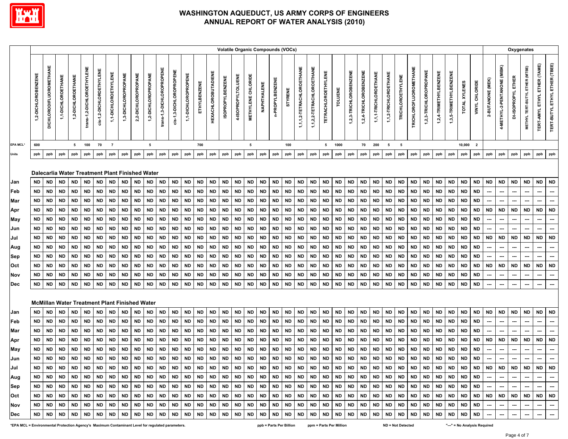

|                                                                                  |                                                                                                                                                          |                                                                                                                                                   |                                                                                                                                                                                                             |                                                                                                                                                          |                                                                                                                                                          |                                                                                                                                                   |                                                                                                                                                          |                                                                                                                                                          |                                                                                                                                                          |                                                                                                                                                          |                                                                                                                                                   |                                                                                                                                                          |                                                                                                                                                   |                                                                                                                                                          |                                                                                                                                                          |                                                                                                                                                          |                                                                                                                                                   |                                                                                                                                                          | <b>Volatile Organic Compounds (VOCs)</b>                                                                                                                 |                                                                                                                                                          |                                                                                                                                                                     |                                                                                                                                                          |                                                                                                                                                          |                                                                                                                                                          |                                                                                                                                                         |                                                                                                                                                          |                                                                                                                                                          |                                                                                                                                                          |                                                                                                                                                          |                                                                                                                                                          |                                                                                                                                                          |                                                                                                                                                          |                                                                                                                                                          |                                                                                                                                                          |                                                                                                                                                          |                                                                                                                                                   |                                                                                                                                             |                                                                                                          | Oxygenates                                                                                               |                                                                                 |                                                                                                                                                    |                                                                                                  |
|----------------------------------------------------------------------------------|----------------------------------------------------------------------------------------------------------------------------------------------------------|---------------------------------------------------------------------------------------------------------------------------------------------------|-------------------------------------------------------------------------------------------------------------------------------------------------------------------------------------------------------------|----------------------------------------------------------------------------------------------------------------------------------------------------------|----------------------------------------------------------------------------------------------------------------------------------------------------------|---------------------------------------------------------------------------------------------------------------------------------------------------|----------------------------------------------------------------------------------------------------------------------------------------------------------|----------------------------------------------------------------------------------------------------------------------------------------------------------|----------------------------------------------------------------------------------------------------------------------------------------------------------|----------------------------------------------------------------------------------------------------------------------------------------------------------|---------------------------------------------------------------------------------------------------------------------------------------------------|----------------------------------------------------------------------------------------------------------------------------------------------------------|---------------------------------------------------------------------------------------------------------------------------------------------------|----------------------------------------------------------------------------------------------------------------------------------------------------------|----------------------------------------------------------------------------------------------------------------------------------------------------------|----------------------------------------------------------------------------------------------------------------------------------------------------------|---------------------------------------------------------------------------------------------------------------------------------------------------|----------------------------------------------------------------------------------------------------------------------------------------------------------|----------------------------------------------------------------------------------------------------------------------------------------------------------|----------------------------------------------------------------------------------------------------------------------------------------------------------|---------------------------------------------------------------------------------------------------------------------------------------------------------------------|----------------------------------------------------------------------------------------------------------------------------------------------------------|----------------------------------------------------------------------------------------------------------------------------------------------------------|----------------------------------------------------------------------------------------------------------------------------------------------------------|---------------------------------------------------------------------------------------------------------------------------------------------------------|----------------------------------------------------------------------------------------------------------------------------------------------------------|----------------------------------------------------------------------------------------------------------------------------------------------------------|----------------------------------------------------------------------------------------------------------------------------------------------------------|----------------------------------------------------------------------------------------------------------------------------------------------------------|----------------------------------------------------------------------------------------------------------------------------------------------------------|----------------------------------------------------------------------------------------------------------------------------------------------------------|----------------------------------------------------------------------------------------------------------------------------------------------------------|----------------------------------------------------------------------------------------------------------------------------------------------------------|----------------------------------------------------------------------------------------------------------------------------------------------------------|----------------------------------------------------------------------------------------------------------------------------------------------------------|---------------------------------------------------------------------------------------------------------------------------------------------------|---------------------------------------------------------------------------------------------------------------------------------------------|----------------------------------------------------------------------------------------------------------|----------------------------------------------------------------------------------------------------------|---------------------------------------------------------------------------------|----------------------------------------------------------------------------------------------------------------------------------------------------|--------------------------------------------------------------------------------------------------|
|                                                                                  | 1,2-DICHLOROBENZENE                                                                                                                                      | <b>DICHLORODIFLUOROMETHANE</b>                                                                                                                    | 1,1-DICHLOROETHANE                                                                                                                                                                                          | 1,2-DICHLOROETHANE                                                                                                                                       | trans-1,2-DICHLOROETHYLENE                                                                                                                               | cis-1,2-DICHLOROETHYLENE                                                                                                                          | 1,1-DICHLOROETHYLENE                                                                                                                                     | 1,3-DICHLOROPROPANE                                                                                                                                      | 2,2-DICHLOROPROPANE                                                                                                                                      | 1,2-DICHLOROPROPANE                                                                                                                                      | trans-1,3-DICHLOROPROPENE                                                                                                                         | cis-1,3-DICHLOROPROPENE                                                                                                                                  | 1,1-DICHLOROPROPENE                                                                                                                               | ETHYLBENZENE                                                                                                                                             | <b>HEXACHLOROBUTADIENE</b>                                                                                                                               | <b>ISOPROPYLBENZENE</b>                                                                                                                                  | 4-ISOPROPYLTOLUENE                                                                                                                                | <b>METHYLENE CHLORIDE</b>                                                                                                                                | NAPHTHALENE                                                                                                                                              | n-PROPYLBENZENE                                                                                                                                          | <b>STYRENE</b>                                                                                                                                                      | 1,1,1,2-TETRACHLOROETHANE                                                                                                                                | 1,1,2,2-TETRACHLOROETHANE                                                                                                                                | <b>TETRACHLOROETHYLENE</b>                                                                                                                               | TOLUENE                                                                                                                                                 | 1,2,3-TRICHLOROBENZENE                                                                                                                                   | 1,2,4-TRICHLOROBENZENE                                                                                                                                   | 1,1,1-TRICHLOROETHANE                                                                                                                                    | 1,1,2-TRICHLOROETHANE                                                                                                                                    | <b>TRICHLOROETHYLENE</b>                                                                                                                                 | <b>TRICHLOROFLUOROMETHANE</b>                                                                                                                            | 1,2,3-TRICHLOROPROPANE                                                                                                                                   | 1,2,4-TRIMETHYLBENZENE                                                                                                                                   | 1,3,5-TRIMETHYLBENZENE                                                                                                                                   | TOTAL XYLENES                                                                                                                                            | VINYL CHLORIDE                                                                                                                                    | 2-BUTANONE (MEK)                                                                                                                            | 4-METHYL-2-PENTANONE (MIBK)                                                                              | DI-ISOPROPYL ETHER                                                                                       | METHYL TERT-BUTYL ETHER (MTBE)                                                  | TERT-AMYL ETHYL ETHER (TAME)                                                                                                                       | TERT-BUTYL ETHYL ETHER (TBEE)                                                                    |
| EPA MCL*                                                                         | 600                                                                                                                                                      |                                                                                                                                                   |                                                                                                                                                                                                             | 5                                                                                                                                                        | 100                                                                                                                                                      | 70                                                                                                                                                | $\overline{7}$                                                                                                                                           |                                                                                                                                                          |                                                                                                                                                          | 5                                                                                                                                                        |                                                                                                                                                   |                                                                                                                                                          |                                                                                                                                                   | 700                                                                                                                                                      |                                                                                                                                                          |                                                                                                                                                          |                                                                                                                                                   | 5                                                                                                                                                        |                                                                                                                                                          |                                                                                                                                                          | 100                                                                                                                                                                 |                                                                                                                                                          |                                                                                                                                                          | 5                                                                                                                                                        | 1000                                                                                                                                                    |                                                                                                                                                          | 70                                                                                                                                                       | 200                                                                                                                                                      | 5                                                                                                                                                        | 5                                                                                                                                                        |                                                                                                                                                          |                                                                                                                                                          |                                                                                                                                                          |                                                                                                                                                          | 10,000                                                                                                                                                   | $\overline{\mathbf{2}}$                                                                                                                           |                                                                                                                                             |                                                                                                          |                                                                                                          |                                                                                 |                                                                                                                                                    |                                                                                                  |
| Units                                                                            | ppb                                                                                                                                                      | ppb                                                                                                                                               | ppb                                                                                                                                                                                                         | ppb                                                                                                                                                      | ppb                                                                                                                                                      | ppb                                                                                                                                               | ppb                                                                                                                                                      | ppb                                                                                                                                                      | ppb                                                                                                                                                      | ppb                                                                                                                                                      | ppb                                                                                                                                               | ppb                                                                                                                                                      | ppb                                                                                                                                               | ppb                                                                                                                                                      | ppb                                                                                                                                                      | ppb                                                                                                                                                      | ppb                                                                                                                                               | ppb                                                                                                                                                      | ppb                                                                                                                                                      | ppb                                                                                                                                                      | ppb                                                                                                                                                                 | ppb                                                                                                                                                      | ppb                                                                                                                                                      | ppb                                                                                                                                                      | ppb                                                                                                                                                     | ppb                                                                                                                                                      | ppb                                                                                                                                                      | ppb                                                                                                                                                      | ppb                                                                                                                                                      | ppb                                                                                                                                                      | ppb                                                                                                                                                      | ppb                                                                                                                                                      | ppb                                                                                                                                                      | ppb                                                                                                                                                      | ppb                                                                                                                                                      | ppb                                                                                                                                               | ppb                                                                                                                                         | ppb                                                                                                      | ppb                                                                                                      | ppb                                                                             | ppb                                                                                                                                                | ppb                                                                                              |
| Jan<br>Feb<br>Mar<br>Apr<br>May<br>Jun<br>Jul<br>Aug<br>Sep<br>Oct<br>Nov<br>Dec | <b>ND</b><br><b>ND</b><br><b>ND</b><br><b>ND</b><br><b>ND</b><br><b>ND</b><br><b>ND</b><br><b>ND</b><br><b>ND</b><br><b>ND</b><br><b>ND</b><br><b>ND</b> | <b>ND</b><br><b>ND</b><br><b>ND</b><br><b>ND</b><br>ND<br><b>ND</b><br><b>ND</b><br><b>ND</b><br><b>ND</b><br><b>ND</b><br><b>ND</b><br><b>ND</b> | Dalecarlia Water Treatment Plant Finished Water<br><b>ND</b><br><b>ND</b><br><b>ND</b><br><b>ND</b><br><b>ND</b><br><b>ND</b><br><b>ND</b><br><b>ND</b><br><b>ND</b><br><b>ND</b><br><b>ND</b><br><b>ND</b> | <b>ND</b><br><b>ND</b><br><b>ND</b><br><b>ND</b><br><b>ND</b><br><b>ND</b><br><b>ND</b><br><b>ND</b><br><b>ND</b><br><b>ND</b><br><b>ND</b><br><b>ND</b> | <b>ND</b><br><b>ND</b><br><b>ND</b><br><b>ND</b><br><b>ND</b><br><b>ND</b><br><b>ND</b><br><b>ND</b><br><b>ND</b><br><b>ND</b><br><b>ND</b><br><b>ND</b> | <b>ND</b><br><b>ND</b><br><b>ND</b><br>ND<br><b>ND</b><br><b>ND</b><br><b>ND</b><br><b>ND</b><br><b>ND</b><br><b>ND</b><br><b>ND</b><br><b>ND</b> | <b>ND</b><br><b>ND</b><br><b>ND</b><br><b>ND</b><br><b>ND</b><br><b>ND</b><br><b>ND</b><br><b>ND</b><br><b>ND</b><br><b>ND</b><br><b>ND</b><br><b>ND</b> | <b>ND</b><br><b>ND</b><br><b>ND</b><br><b>ND</b><br><b>ND</b><br><b>ND</b><br><b>ND</b><br><b>ND</b><br><b>ND</b><br><b>ND</b><br><b>ND</b><br><b>ND</b> | <b>ND</b><br><b>ND</b><br><b>ND</b><br><b>ND</b><br><b>ND</b><br><b>ND</b><br><b>ND</b><br><b>ND</b><br><b>ND</b><br><b>ND</b><br><b>ND</b><br><b>ND</b> | <b>ND</b><br><b>ND</b><br><b>ND</b><br><b>ND</b><br><b>ND</b><br><b>ND</b><br><b>ND</b><br><b>ND</b><br><b>ND</b><br><b>ND</b><br><b>ND</b><br><b>ND</b> | <b>ND</b><br><b>ND</b><br><b>ND</b><br>ND<br><b>ND</b><br><b>ND</b><br><b>ND</b><br><b>ND</b><br><b>ND</b><br><b>ND</b><br><b>ND</b><br><b>ND</b> | <b>ND</b><br><b>ND</b><br><b>ND</b><br><b>ND</b><br><b>ND</b><br><b>ND</b><br><b>ND</b><br><b>ND</b><br><b>ND</b><br><b>ND</b><br><b>ND</b><br><b>ND</b> | <b>ND</b><br><b>ND</b><br><b>ND</b><br>ND<br><b>ND</b><br><b>ND</b><br><b>ND</b><br><b>ND</b><br><b>ND</b><br><b>ND</b><br><b>ND</b><br><b>ND</b> | <b>ND</b><br><b>ND</b><br><b>ND</b><br><b>ND</b><br><b>ND</b><br><b>ND</b><br><b>ND</b><br><b>ND</b><br><b>ND</b><br><b>ND</b><br><b>ND</b><br><b>ND</b> | <b>ND</b><br><b>ND</b><br><b>ND</b><br><b>ND</b><br><b>ND</b><br><b>ND</b><br><b>ND</b><br><b>ND</b><br><b>ND</b><br><b>ND</b><br><b>ND</b><br><b>ND</b> | <b>ND</b><br><b>ND</b><br><b>ND</b><br><b>ND</b><br><b>ND</b><br><b>ND</b><br><b>ND</b><br><b>ND</b><br><b>ND</b><br><b>ND</b><br><b>ND</b><br><b>ND</b> | <b>ND</b><br><b>ND</b><br><b>ND</b><br><b>ND</b><br>ND<br><b>ND</b><br><b>ND</b><br><b>ND</b><br><b>ND</b><br><b>ND</b><br><b>ND</b><br><b>ND</b> | <b>ND</b><br><b>ND</b><br><b>ND</b><br><b>ND</b><br><b>ND</b><br><b>ND</b><br><b>ND</b><br><b>ND</b><br><b>ND</b><br><b>ND</b><br><b>ND</b><br><b>ND</b> | <b>ND</b><br><b>ND</b><br><b>ND</b><br><b>ND</b><br><b>ND</b><br><b>ND</b><br><b>ND</b><br><b>ND</b><br><b>ND</b><br><b>ND</b><br><b>ND</b><br><b>ND</b> | <b>ND</b><br><b>ND</b><br><b>ND</b><br><b>ND</b><br><b>ND</b><br><b>ND</b><br><b>ND</b><br><b>ND</b><br><b>ND</b><br><b>ND</b><br><b>ND</b><br><b>ND</b> | <b>ND</b><br><b>ND</b><br><b>ND</b><br><b>ND</b><br>$\mathsf{ND}$<br><b>ND</b><br><b>ND</b><br><b>ND</b><br><b>ND</b><br>$\mathsf{ND}$<br>$\mathsf{ND}$<br>$\sf ND$ | <b>ND</b><br><b>ND</b><br><b>ND</b><br><b>ND</b><br><b>ND</b><br><b>ND</b><br><b>ND</b><br><b>ND</b><br><b>ND</b><br><b>ND</b><br><b>ND</b><br><b>ND</b> | <b>ND</b><br><b>ND</b><br><b>ND</b><br><b>ND</b><br><b>ND</b><br><b>ND</b><br><b>ND</b><br><b>ND</b><br><b>ND</b><br><b>ND</b><br><b>ND</b><br><b>ND</b> | <b>ND</b><br><b>ND</b><br><b>ND</b><br><b>ND</b><br><b>ND</b><br><b>ND</b><br><b>ND</b><br><b>ND</b><br><b>ND</b><br><b>ND</b><br><b>ND</b><br><b>ND</b> | $\sf ND$<br><b>ND</b><br><b>ND</b><br><b>ND</b><br><b>ND</b><br><b>ND</b><br><b>ND</b><br><b>ND</b><br><b>ND</b><br><b>ND</b><br><b>ND</b><br><b>ND</b> | <b>ND</b><br><b>ND</b><br><b>ND</b><br><b>ND</b><br><b>ND</b><br><b>ND</b><br><b>ND</b><br><b>ND</b><br><b>ND</b><br><b>ND</b><br><b>ND</b><br><b>ND</b> | <b>ND</b><br><b>ND</b><br><b>ND</b><br><b>ND</b><br><b>ND</b><br><b>ND</b><br><b>ND</b><br><b>ND</b><br><b>ND</b><br><b>ND</b><br><b>ND</b><br><b>ND</b> | <b>ND</b><br><b>ND</b><br><b>ND</b><br><b>ND</b><br><b>ND</b><br><b>ND</b><br><b>ND</b><br><b>ND</b><br><b>ND</b><br><b>ND</b><br><b>ND</b><br><b>ND</b> | <b>ND</b><br><b>ND</b><br><b>ND</b><br><b>ND</b><br><b>ND</b><br><b>ND</b><br><b>ND</b><br><b>ND</b><br><b>ND</b><br><b>ND</b><br><b>ND</b><br><b>ND</b> | <b>ND</b><br><b>ND</b><br><b>ND</b><br><b>ND</b><br><b>ND</b><br><b>ND</b><br><b>ND</b><br><b>ND</b><br><b>ND</b><br><b>ND</b><br><b>ND</b><br><b>ND</b> | <b>ND</b><br><b>ND</b><br><b>ND</b><br><b>ND</b><br><b>ND</b><br><b>ND</b><br><b>ND</b><br><b>ND</b><br><b>ND</b><br><b>ND</b><br><b>ND</b><br><b>ND</b> | <b>ND</b><br><b>ND</b><br><b>ND</b><br><b>ND</b><br><b>ND</b><br><b>ND</b><br><b>ND</b><br><b>ND</b><br><b>ND</b><br><b>ND</b><br><b>ND</b><br><b>ND</b> | <b>ND</b><br><b>ND</b><br><b>ND</b><br><b>ND</b><br><b>ND</b><br><b>ND</b><br><b>ND</b><br><b>ND</b><br><b>ND</b><br><b>ND</b><br><b>ND</b><br><b>ND</b> | <b>ND</b><br><b>ND</b><br><b>ND</b><br><b>ND</b><br><b>ND</b><br><b>ND</b><br><b>ND</b><br><b>ND</b><br><b>ND</b><br><b>ND</b><br><b>ND</b><br><b>ND</b> | <b>ND</b><br><b>ND</b><br><b>ND</b><br><b>ND</b><br><b>ND</b><br><b>ND</b><br><b>ND</b><br><b>ND</b><br><b>ND</b><br><b>ND</b><br><b>ND</b><br><b>ND</b> | <b>ND</b><br><b>ND</b><br><b>ND</b><br>ND<br><b>ND</b><br><b>ND</b><br><b>ND</b><br><b>ND</b><br><b>ND</b><br><b>ND</b><br><b>ND</b><br><b>ND</b> | <b>ND</b><br>$\overline{\phantom{a}}$<br><b>ND</b><br>---<br>---<br><b>ND</b><br>$\overline{\phantom{a}}$<br>---<br><b>ND</b><br>---<br>--- | <b>ND</b><br>---<br>---<br><b>ND</b><br>---<br>---<br><b>ND</b><br>---<br>---<br><b>ND</b><br>---<br>--- | <b>ND</b><br>---<br>---<br><b>ND</b><br>---<br>---<br><b>ND</b><br>---<br>---<br><b>ND</b><br>---<br>--- | <b>ND</b><br><br><b>ND</b><br>…<br><b>ND</b><br><br>---<br><b>ND</b><br>---<br> | <b>ND</b><br>---<br>---<br><b>ND</b><br>---<br>$\overline{\phantom{a}}$<br><b>ND</b><br>---<br>$\overline{\phantom{a}}$<br><b>ND</b><br>---<br>--- | <b>ND</b><br><br>---<br><b>ND</b><br>---<br><br><b>ND</b><br>---<br>…<br><b>ND</b><br>---<br>--- |
|                                                                                  | <b>ND</b>                                                                                                                                                | <b>ND</b>                                                                                                                                         | <b>McMillan Water Treatment Plant Finished Water</b><br><b>ND</b>                                                                                                                                           | <b>ND</b>                                                                                                                                                | <b>ND</b>                                                                                                                                                | <b>ND</b>                                                                                                                                         | <b>ND</b>                                                                                                                                                | <b>ND</b>                                                                                                                                                | <b>ND</b>                                                                                                                                                | <b>ND</b>                                                                                                                                                | <b>ND</b>                                                                                                                                         | <b>ND</b>                                                                                                                                                | <b>ND</b>                                                                                                                                         | <b>ND</b>                                                                                                                                                | <b>ND</b>                                                                                                                                                | <b>ND</b>                                                                                                                                                | <b>ND</b>                                                                                                                                         | <b>ND</b>                                                                                                                                                | <b>ND</b>                                                                                                                                                | <b>ND</b>                                                                                                                                                | <b>ND</b>                                                                                                                                                           | <b>ND</b>                                                                                                                                                | <b>ND</b>                                                                                                                                                | <b>ND</b>                                                                                                                                                | <b>ND</b>                                                                                                                                               | <b>ND</b>                                                                                                                                                | <b>ND</b>                                                                                                                                                | <b>ND</b>                                                                                                                                                | <b>ND</b>                                                                                                                                                | <b>ND</b>                                                                                                                                                | <b>ND</b>                                                                                                                                                | <b>ND</b>                                                                                                                                                | <b>ND</b>                                                                                                                                                | <b>ND</b>                                                                                                                                                | <b>ND</b>                                                                                                                                                | <b>ND</b>                                                                                                                                         | <b>ND</b>                                                                                                                                   | <b>ND</b>                                                                                                | <b>ND</b>                                                                                                | <b>ND</b>                                                                       | <b>ND</b>                                                                                                                                          | <b>ND</b>                                                                                        |
| Jan<br>Feb                                                                       | <b>ND</b>                                                                                                                                                | <b>ND</b>                                                                                                                                         | <b>ND</b>                                                                                                                                                                                                   | <b>ND</b>                                                                                                                                                | <b>ND</b>                                                                                                                                                | <b>ND</b>                                                                                                                                         | <b>ND</b>                                                                                                                                                | <b>ND</b>                                                                                                                                                | <b>ND</b>                                                                                                                                                | <b>ND</b>                                                                                                                                                | <b>ND</b>                                                                                                                                         | <b>ND</b>                                                                                                                                                | <b>ND</b>                                                                                                                                         | <b>ND</b>                                                                                                                                                | <b>ND</b>                                                                                                                                                | <b>ND</b>                                                                                                                                                | <b>ND</b>                                                                                                                                         | <b>ND</b>                                                                                                                                                | <b>ND</b>                                                                                                                                                | <b>ND</b>                                                                                                                                                | <b>ND</b>                                                                                                                                                           | <b>ND</b>                                                                                                                                                | <b>ND</b>                                                                                                                                                | <b>ND</b>                                                                                                                                                | <b>ND</b>                                                                                                                                               | <b>ND</b>                                                                                                                                                | <b>ND</b>                                                                                                                                                | <b>ND</b>                                                                                                                                                | <b>ND</b>                                                                                                                                                | <b>ND</b>                                                                                                                                                | <b>ND</b>                                                                                                                                                | <b>ND</b>                                                                                                                                                | <b>ND</b>                                                                                                                                                | <b>ND</b>                                                                                                                                                | <b>ND</b>                                                                                                                                                | <b>ND</b>                                                                                                                                         | $\overline{\phantom{a}}$                                                                                                                    | ---                                                                                                      | $\overline{\phantom{a}}$                                                                                 | $\overline{\phantom{a}}$                                                        | $\overline{\phantom{a}}$                                                                                                                           | ---                                                                                              |
| Mar                                                                              | <b>ND</b>                                                                                                                                                | <b>ND</b>                                                                                                                                         | <b>ND</b>                                                                                                                                                                                                   | <b>ND</b>                                                                                                                                                | <b>ND</b>                                                                                                                                                | <b>ND</b>                                                                                                                                         | <b>ND</b>                                                                                                                                                | <b>ND</b>                                                                                                                                                | <b>ND</b>                                                                                                                                                | <b>ND</b>                                                                                                                                                | <b>ND</b>                                                                                                                                         | <b>ND</b>                                                                                                                                                | <b>ND</b>                                                                                                                                         | <b>ND</b>                                                                                                                                                | <b>ND</b>                                                                                                                                                | <b>ND</b>                                                                                                                                                | <b>ND</b>                                                                                                                                         | <b>ND</b>                                                                                                                                                | <b>ND</b>                                                                                                                                                | <b>ND</b>                                                                                                                                                | <b>ND</b>                                                                                                                                                           | <b>ND</b>                                                                                                                                                | <b>ND</b>                                                                                                                                                | <b>ND</b>                                                                                                                                                | <b>ND</b>                                                                                                                                               | <b>ND</b>                                                                                                                                                | <b>ND</b>                                                                                                                                                | <b>ND</b>                                                                                                                                                | <b>ND</b>                                                                                                                                                | <b>ND</b>                                                                                                                                                | <b>ND</b>                                                                                                                                                | <b>ND</b>                                                                                                                                                | <b>ND</b>                                                                                                                                                | <b>ND</b>                                                                                                                                                | <b>ND</b>                                                                                                                                                | <b>ND</b>                                                                                                                                         | ---                                                                                                                                         | ---                                                                                                      | ---                                                                                                      | ---                                                                             | ---                                                                                                                                                | ---                                                                                              |
| Apr                                                                              | <b>ND</b>                                                                                                                                                | <b>ND</b>                                                                                                                                         | <b>ND</b>                                                                                                                                                                                                   | <b>ND</b>                                                                                                                                                | <b>ND</b>                                                                                                                                                | <b>ND</b>                                                                                                                                         | <b>ND</b>                                                                                                                                                | <b>ND</b>                                                                                                                                                | <b>ND</b>                                                                                                                                                | <b>ND</b>                                                                                                                                                | ND                                                                                                                                                | <b>ND</b>                                                                                                                                                | <b>ND</b>                                                                                                                                         | <b>ND</b>                                                                                                                                                | <b>ND</b>                                                                                                                                                | <b>ND</b>                                                                                                                                                | <b>ND</b>                                                                                                                                         | <b>ND</b>                                                                                                                                                | <b>ND</b>                                                                                                                                                | <b>ND</b>                                                                                                                                                | <b>ND</b>                                                                                                                                                           | <b>ND</b>                                                                                                                                                | <b>ND</b>                                                                                                                                                | <b>ND</b>                                                                                                                                                | <b>ND</b>                                                                                                                                               | <b>ND</b>                                                                                                                                                | <b>ND</b>                                                                                                                                                | <b>ND</b>                                                                                                                                                | <b>ND</b>                                                                                                                                                | <b>ND</b>                                                                                                                                                | <b>ND</b>                                                                                                                                                | <b>ND</b>                                                                                                                                                | <b>ND</b>                                                                                                                                                | <b>ND</b>                                                                                                                                                | <b>ND</b>                                                                                                                                                | ND                                                                                                                                                | <b>ND</b>                                                                                                                                   | <b>ND</b>                                                                                                | <b>ND</b>                                                                                                | <b>ND</b>                                                                       | <b>ND</b>                                                                                                                                          | <b>ND</b>                                                                                        |
| May                                                                              | <b>ND</b>                                                                                                                                                | ND                                                                                                                                                | <b>ND</b>                                                                                                                                                                                                   | <b>ND</b>                                                                                                                                                | <b>ND</b>                                                                                                                                                | <b>ND</b>                                                                                                                                         | <b>ND</b>                                                                                                                                                | <b>ND</b>                                                                                                                                                | <b>ND</b>                                                                                                                                                | <b>ND</b>                                                                                                                                                | ND                                                                                                                                                | <b>ND</b>                                                                                                                                                | ND                                                                                                                                                | <b>ND</b>                                                                                                                                                | <b>ND</b>                                                                                                                                                | <b>ND</b>                                                                                                                                                | <b>ND</b>                                                                                                                                         | <b>ND</b>                                                                                                                                                | <b>ND</b>                                                                                                                                                | <b>ND</b>                                                                                                                                                | <b>ND</b>                                                                                                                                                           | <b>ND</b>                                                                                                                                                | <b>ND</b>                                                                                                                                                | <b>ND</b>                                                                                                                                                | <b>ND</b>                                                                                                                                               | <b>ND</b>                                                                                                                                                | <b>ND</b>                                                                                                                                                | <b>ND</b>                                                                                                                                                | <b>ND</b>                                                                                                                                                | <b>ND</b>                                                                                                                                                | <b>ND</b>                                                                                                                                                | <b>ND</b>                                                                                                                                                | <b>ND</b>                                                                                                                                                | <b>ND</b>                                                                                                                                                | <b>ND</b>                                                                                                                                                | <b>ND</b>                                                                                                                                         | $\overline{\phantom{a}}$                                                                                                                    | ---                                                                                                      | ---                                                                                                      |                                                                                 | ---                                                                                                                                                | …                                                                                                |
| Jun                                                                              | <b>ND</b>                                                                                                                                                | <b>ND</b>                                                                                                                                         | <b>ND</b>                                                                                                                                                                                                   | <b>ND</b>                                                                                                                                                | <b>ND</b>                                                                                                                                                | <b>ND</b>                                                                                                                                         | <b>ND</b>                                                                                                                                                | <b>ND</b>                                                                                                                                                | <b>ND</b>                                                                                                                                                | <b>ND</b>                                                                                                                                                | <b>ND</b>                                                                                                                                         | <b>ND</b>                                                                                                                                                | <b>ND</b>                                                                                                                                         | <b>ND</b>                                                                                                                                                | <b>ND</b>                                                                                                                                                | <b>ND</b>                                                                                                                                                | <b>ND</b>                                                                                                                                         | <b>ND</b>                                                                                                                                                | <b>ND</b>                                                                                                                                                | <b>ND</b>                                                                                                                                                | <b>ND</b>                                                                                                                                                           | <b>ND</b>                                                                                                                                                | <b>ND</b>                                                                                                                                                | <b>ND</b>                                                                                                                                                | <b>ND</b>                                                                                                                                               | <b>ND</b>                                                                                                                                                | <b>ND</b>                                                                                                                                                | <b>ND</b>                                                                                                                                                | <b>ND</b>                                                                                                                                                | <b>ND</b>                                                                                                                                                | <b>ND</b>                                                                                                                                                | <b>ND</b>                                                                                                                                                | <b>ND</b>                                                                                                                                                | <b>ND</b>                                                                                                                                                | <b>ND</b>                                                                                                                                                | <b>ND</b>                                                                                                                                         |                                                                                                                                             | ---                                                                                                      |                                                                                                          |                                                                                 | ---                                                                                                                                                | ---                                                                                              |
| Jul                                                                              | <b>ND</b>                                                                                                                                                | <b>ND</b>                                                                                                                                         | <b>ND</b>                                                                                                                                                                                                   | <b>ND</b>                                                                                                                                                | <b>ND</b>                                                                                                                                                | <b>ND</b>                                                                                                                                         | <b>ND</b>                                                                                                                                                | <b>ND</b>                                                                                                                                                | <b>ND</b>                                                                                                                                                | <b>ND</b>                                                                                                                                                | <b>ND</b>                                                                                                                                         | <b>ND</b>                                                                                                                                                | <b>ND</b>                                                                                                                                         | <b>ND</b>                                                                                                                                                | <b>ND</b>                                                                                                                                                | <b>ND</b>                                                                                                                                                | <b>ND</b>                                                                                                                                         | <b>ND</b>                                                                                                                                                | <b>ND</b>                                                                                                                                                | <b>ND</b>                                                                                                                                                | <b>ND</b>                                                                                                                                                           | <b>ND</b>                                                                                                                                                | <b>ND</b>                                                                                                                                                | <b>ND</b>                                                                                                                                                | <b>ND</b>                                                                                                                                               | <b>ND</b>                                                                                                                                                | <b>ND</b>                                                                                                                                                | <b>ND</b>                                                                                                                                                | <b>ND</b>                                                                                                                                                | <b>ND</b>                                                                                                                                                | <b>ND</b>                                                                                                                                                | <b>ND</b>                                                                                                                                                | <b>ND</b>                                                                                                                                                | <b>ND</b>                                                                                                                                                | <b>ND</b>                                                                                                                                                | <b>ND</b>                                                                                                                                         | <b>ND</b>                                                                                                                                   | <b>ND</b>                                                                                                | <b>ND</b>                                                                                                | <b>ND</b>                                                                       | <b>ND</b>                                                                                                                                          | <b>ND</b>                                                                                        |
| Aug                                                                              | <b>ND</b>                                                                                                                                                | <b>ND</b>                                                                                                                                         | <b>ND</b>                                                                                                                                                                                                   | <b>ND</b>                                                                                                                                                | <b>ND</b>                                                                                                                                                | <b>ND</b>                                                                                                                                         | <b>ND</b>                                                                                                                                                | <b>ND</b>                                                                                                                                                | <b>ND</b>                                                                                                                                                | <b>ND</b>                                                                                                                                                | <b>ND</b>                                                                                                                                         | <b>ND</b>                                                                                                                                                | <b>ND</b>                                                                                                                                         | <b>ND</b>                                                                                                                                                | <b>ND</b>                                                                                                                                                | <b>ND</b>                                                                                                                                                | <b>ND</b>                                                                                                                                         | <b>ND</b>                                                                                                                                                | <b>ND</b>                                                                                                                                                | <b>ND</b>                                                                                                                                                | $\mathsf{ND}$                                                                                                                                                       | <b>ND</b>                                                                                                                                                | <b>ND</b>                                                                                                                                                | <b>ND</b>                                                                                                                                                | <b>ND</b>                                                                                                                                               | <b>ND</b>                                                                                                                                                | <b>ND</b>                                                                                                                                                | <b>ND</b>                                                                                                                                                | <b>ND</b>                                                                                                                                                | <b>ND</b>                                                                                                                                                | <b>ND</b>                                                                                                                                                | <b>ND</b>                                                                                                                                                | <b>ND</b>                                                                                                                                                | <b>ND</b>                                                                                                                                                | <b>ND</b>                                                                                                                                                | <b>ND</b>                                                                                                                                         | $\overline{\phantom{a}}$                                                                                                                    | ---                                                                                                      | ---                                                                                                      | $\overline{\phantom{a}}$                                                        | ---                                                                                                                                                | $\overline{\phantom{a}}$                                                                         |
| Sep                                                                              | <b>ND</b>                                                                                                                                                | <b>ND</b>                                                                                                                                         | <b>ND</b>                                                                                                                                                                                                   | <b>ND</b>                                                                                                                                                | <b>ND</b>                                                                                                                                                | <b>ND</b>                                                                                                                                         | <b>ND</b>                                                                                                                                                | <b>ND</b>                                                                                                                                                | <b>ND</b>                                                                                                                                                | <b>ND</b>                                                                                                                                                | <b>ND</b>                                                                                                                                         | <b>ND</b>                                                                                                                                                | <b>ND</b>                                                                                                                                         | <b>ND</b>                                                                                                                                                | <b>ND</b>                                                                                                                                                | <b>ND</b>                                                                                                                                                | <b>ND</b>                                                                                                                                         | <b>ND</b>                                                                                                                                                | <b>ND</b>                                                                                                                                                | <b>ND</b>                                                                                                                                                | <b>ND</b>                                                                                                                                                           | <b>ND</b>                                                                                                                                                | <b>ND</b>                                                                                                                                                | <b>ND</b>                                                                                                                                                | <b>ND</b>                                                                                                                                               | <b>ND</b>                                                                                                                                                | <b>ND</b>                                                                                                                                                | <b>ND</b>                                                                                                                                                | <b>ND</b>                                                                                                                                                | <b>ND</b>                                                                                                                                                | <b>ND</b>                                                                                                                                                | <b>ND</b>                                                                                                                                                | <b>ND</b>                                                                                                                                                | <b>ND</b>                                                                                                                                                | <b>ND</b>                                                                                                                                                | <b>ND</b>                                                                                                                                         | $\hspace{0.05cm} \cdots$                                                                                                                    | ---                                                                                                      | ---                                                                                                      | ---                                                                             | ---                                                                                                                                                | ---                                                                                              |
| Oct                                                                              | <b>ND</b>                                                                                                                                                | <b>ND</b>                                                                                                                                         | <b>ND</b>                                                                                                                                                                                                   | <b>ND</b>                                                                                                                                                | <b>ND</b>                                                                                                                                                | <b>ND</b>                                                                                                                                         | <b>ND</b>                                                                                                                                                | <b>ND</b>                                                                                                                                                | <b>ND</b>                                                                                                                                                | <b>ND</b>                                                                                                                                                | <b>ND</b>                                                                                                                                         | <b>ND</b>                                                                                                                                                | <b>ND</b>                                                                                                                                         | <b>ND</b>                                                                                                                                                | <b>ND</b>                                                                                                                                                | <b>ND</b>                                                                                                                                                | <b>ND</b>                                                                                                                                         | <b>ND</b>                                                                                                                                                | <b>ND</b>                                                                                                                                                | <b>ND</b>                                                                                                                                                | $\mathsf{ND}$                                                                                                                                                       | <b>ND</b>                                                                                                                                                | <b>ND</b>                                                                                                                                                | <b>ND</b>                                                                                                                                                | <b>ND</b>                                                                                                                                               | <b>ND</b>                                                                                                                                                | <b>ND</b>                                                                                                                                                | <b>ND</b>                                                                                                                                                | <b>ND</b>                                                                                                                                                | <b>ND</b>                                                                                                                                                | <b>ND</b>                                                                                                                                                | <b>ND</b>                                                                                                                                                | <b>ND</b>                                                                                                                                                | <b>ND</b>                                                                                                                                                | <b>ND</b>                                                                                                                                                | <b>ND</b>                                                                                                                                         | <b>ND</b>                                                                                                                                   | <b>ND</b>                                                                                                | <b>ND</b>                                                                                                | <b>ND</b>                                                                       | <b>ND</b>                                                                                                                                          | <b>ND</b>                                                                                        |
| Nov                                                                              | <b>ND</b>                                                                                                                                                | <b>ND</b>                                                                                                                                         | <b>ND</b>                                                                                                                                                                                                   | <b>ND</b>                                                                                                                                                | <b>ND</b>                                                                                                                                                | <b>ND</b>                                                                                                                                         | <b>ND</b>                                                                                                                                                | <b>ND</b>                                                                                                                                                | <b>ND</b>                                                                                                                                                | <b>ND</b>                                                                                                                                                | <b>ND</b>                                                                                                                                         | <b>ND</b>                                                                                                                                                | <b>ND</b>                                                                                                                                         | <b>ND</b>                                                                                                                                                | <b>ND</b>                                                                                                                                                | $\sf ND$                                                                                                                                                 | <b>ND</b>                                                                                                                                         | <b>ND</b>                                                                                                                                                | <b>ND</b>                                                                                                                                                | <b>ND</b>                                                                                                                                                | <b>ND</b>                                                                                                                                                           | <b>ND</b>                                                                                                                                                | <b>ND</b>                                                                                                                                                | <b>ND</b>                                                                                                                                                | <b>ND</b>                                                                                                                                               | <b>ND</b>                                                                                                                                                | <b>ND</b>                                                                                                                                                | <b>ND</b>                                                                                                                                                | <b>ND</b>                                                                                                                                                | <b>ND</b>                                                                                                                                                | <b>ND</b>                                                                                                                                                | <b>ND</b>                                                                                                                                                | <b>ND</b>                                                                                                                                                | <b>ND</b>                                                                                                                                                | <b>ND</b>                                                                                                                                                | <b>ND</b>                                                                                                                                         | ---                                                                                                                                         | ---                                                                                                      | ---                                                                                                      | ---                                                                             | ---                                                                                                                                                | $\overline{\phantom{a}}$                                                                         |
| Dec                                                                              | <b>ND</b>                                                                                                                                                | <b>ND</b>                                                                                                                                         | <b>ND</b>                                                                                                                                                                                                   | <b>ND</b>                                                                                                                                                | <b>ND</b>                                                                                                                                                | <b>ND</b>                                                                                                                                         | <b>ND</b>                                                                                                                                                | <b>ND</b>                                                                                                                                                | <b>ND</b>                                                                                                                                                | <b>ND</b>                                                                                                                                                | <b>ND</b>                                                                                                                                         | <b>ND</b>                                                                                                                                                | <b>ND</b>                                                                                                                                         | <b>ND</b>                                                                                                                                                | <b>ND</b>                                                                                                                                                | <b>ND</b>                                                                                                                                                | <b>ND</b>                                                                                                                                         | <b>ND</b>                                                                                                                                                | <b>ND</b>                                                                                                                                                | <b>ND</b>                                                                                                                                                | $\mathsf{ND}$                                                                                                                                                       | <b>ND</b>                                                                                                                                                | <b>ND</b>                                                                                                                                                | <b>ND</b>                                                                                                                                                | <b>ND</b>                                                                                                                                               | <b>ND</b>                                                                                                                                                | <b>ND</b>                                                                                                                                                | <b>ND</b>                                                                                                                                                | <b>ND</b>                                                                                                                                                | <b>ND</b>                                                                                                                                                | <b>ND</b>                                                                                                                                                | <b>ND</b>                                                                                                                                                | <b>ND</b>                                                                                                                                                | <b>ND</b>                                                                                                                                                | <b>ND</b>                                                                                                                                                | <b>ND</b>                                                                                                                                         | $\overline{\phantom{a}}$                                                                                                                    | ---                                                                                                      |                                                                                                          | ---                                                                             | $\overline{\phantom{a}}$                                                                                                                           | ---                                                                                              |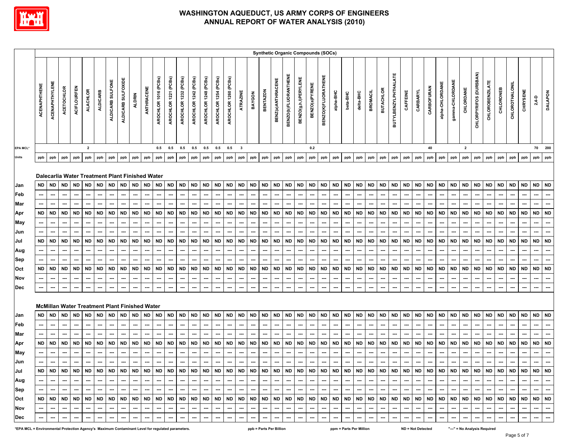

|          |              |                          |                          |                          |                 |                                                                                        |                          |                          |                          |                          |                          |                             |                          |                          |                          |                          |                          |                          |                          |                          |                          |                          |                          |                          | <b>Synthetic Organic Compounds (SOCs)</b> |                          |                                                                     |                          |                          |                          |                          |                          |                          |                          |                          |                          |                          |                          |                          |                          |                          |                          |                          |                          |
|----------|--------------|--------------------------|--------------------------|--------------------------|-----------------|----------------------------------------------------------------------------------------|--------------------------|--------------------------|--------------------------|--------------------------|--------------------------|-----------------------------|--------------------------|--------------------------|--------------------------|--------------------------|--------------------------|--------------------------|--------------------------|--------------------------|--------------------------|--------------------------|--------------------------|--------------------------|-------------------------------------------|--------------------------|---------------------------------------------------------------------|--------------------------|--------------------------|--------------------------|--------------------------|--------------------------|--------------------------|--------------------------|--------------------------|--------------------------|--------------------------|--------------------------|--------------------------|--------------------------|--------------------------|--------------------------|--------------------------|--------------------------|
|          | ACENAPHTHENE | <b>ACENAPHTHYLENE</b>    | ACETOCHLOR               | <b>ACIFLOURFEN</b>       | <b>ALACHLOR</b> | <b>ALDICARB</b>                                                                        | ALDICARB SULFONE         | ALDICARB SULFOXIDE       |                          | ANTHRACENE               | AROCHLOR 1016 (PCBs)     | AROCHLOR 1221 (PCBs)        | AROCHLOR 1232 (PCBs)     | AROCHLOR 1242 (PCBs)     | AROCHLOR 1248 (PCBs)     | AROCHLOR 1254 (PCBs)     | AROCHLOR 1260 (PCBs)     | ATRAZINE                 | BAYGON                   | <b>BENTAZON</b>          | BENZ(a)ANTHRACENE        | BENZO(b)FLUORANTHENE     | BENZO(g,h,l)PERYLENE     | BENZO(a)PYRENE           | BENZO(K)FLUORATHENE                       | alpha-BHC                | beta-BHC                                                            | delta-BHC                | <b>BROMACIL</b>          | <b>BUTACHLOR</b>         | BUTYLBENZYLPHTHALATE     | CAFFEINE                 | CARBARYL                 | CARBOFURAN               | alpha-CHLORDANE          | gamma-CHLORDANE          | CHLORDANE                | CHLORPYRIFOS (DURSBAN)   | <b>CHLOROBENZILATE</b>   | CHLORONEB                | CHLOROTHALONIL           | CHRYSENE                 | $2,4-D$                  | <b>DALAPON</b>           |
| EPA MCL* |              |                          |                          |                          | $\mathbf{2}$    |                                                                                        |                          |                          |                          |                          |                          | 0.5 0.5                     | $0.5\qquad 0.5$          |                          | 0.5                      | 0.5                      | 0.5                      | $\mathbf{3}$             |                          |                          |                          |                          |                          | 0.2                      |                                           |                          |                                                                     |                          |                          |                          |                          |                          |                          | 40                       |                          |                          | $\overline{\mathbf{2}}$  |                          |                          |                          |                          |                          |                          | 70 200                   |
| Units    | ppb          | ppb                      | ppb                      | ppb                      | ppb             | ppb                                                                                    | ppb                      | ppb                      | ppb                      | ppb                      | ppb                      | ppb                         | ppb                      | ppb                      | ppb                      | ppb                      | ppb                      | ppb                      | ppb                      | ppb                      | ppb                      | ppb                      | ppb                      | ppb                      | ppb                                       | ppb                      | ppb                                                                 | ppb                      | ppb                      | ppb                      | ppb                      | ppb                      | ppb                      | ppb                      | ppb                      | ppb                      | ppb                      | ppb                      | ppb                      | ppb                      | ppb                      | ppb                      | ppb                      | ppb                      |
|          |              |                          |                          |                          |                 |                                                                                        |                          |                          |                          |                          |                          |                             |                          |                          |                          |                          |                          |                          |                          |                          |                          |                          |                          |                          |                                           |                          |                                                                     |                          |                          |                          |                          |                          |                          |                          |                          |                          |                          |                          |                          |                          |                          |                          |                          |                          |
|          |              |                          |                          |                          |                 | Dalecarlia Water Treatment Plant Finished Water                                        |                          |                          |                          |                          |                          |                             |                          |                          |                          |                          |                          |                          |                          |                          |                          |                          |                          |                          |                                           |                          |                                                                     |                          |                          |                          |                          |                          |                          |                          |                          |                          |                          |                          |                          |                          |                          |                          |                          |                          |
| Jan      | <b>ND</b>    | <b>ND</b>                | <b>ND</b>                | <b>ND</b>                |                 | ND ND                                                                                  | <b>ND</b>                | <b>ND</b>                | <b>ND</b>                | <b>ND</b>                | <b>ND</b>                | <b>ND</b>                   | <b>ND</b>                | <b>ND</b>                | <b>ND</b>                | <b>ND</b>                | <b>ND</b>                | <b>ND</b>                | ND                       | <b>ND</b>                | <b>ND</b>                | <b>ND</b>                | <b>ND</b>                | <b>ND</b>                | <b>ND</b>                                 | <b>ND</b>                | <b>ND</b>                                                           | <b>ND</b>                | <b>ND</b>                | ND                       | <b>ND</b>                | <b>ND</b>                | ND                       | <b>ND</b>                | <b>ND</b>                | <b>ND</b>                | <b>ND</b>                | <b>ND</b>                | ND ND                    |                          | <b>ND</b>                | <b>ND</b>                | <b>ND</b>                | <b>ND</b>                |
| Feb      |              | ---                      | ---                      |                          | ---             | ---                                                                                    | ---                      | ---                      | ---                      | ---                      | $\hspace{0.05cm} \cdots$ | ⊷-                          | $\overline{\phantom{a}}$ | ---                      | ---                      | ---                      | ---                      | ---                      | ---                      | ---                      | ---                      | $\overline{\phantom{a}}$ | ---                      | ---                      | ---                                       | ---                      |                                                                     | ---                      | ---                      | ---                      | $\hspace{0.05cm} \ldots$ | $\hspace{0.05cm}$        | ---                      | $\overline{\phantom{a}}$ | ---                      | ---                      | ---                      |                          | ---                      | ---                      | ---                      | ---                      | $\overline{\phantom{a}}$ | ---                      |
| Mar      |              | ---                      | ---                      | ---                      | ---             | ---                                                                                    | ---                      | ---                      | ---                      | ---                      | ---                      | ⊷-                          | $\hspace{0.05cm} \ldots$ | ---                      | ---                      | ---                      |                          | ---                      | ---                      | ---                      | ---                      | ---                      | ---                      | $\hspace{0.05cm} \ldots$ | $\cdots$                                  | ---                      | ---                                                                 | ---                      |                          | ---                      | $\hspace{0.05cm} \ldots$ | ---                      | ---                      | ---                      | ---                      | $\overline{\phantom{a}}$ | ---                      |                          | ---                      |                          |                          | ---                      | $\hspace{0.05cm} \ldots$ | ---                      |
| Apr      | <b>ND</b>    | <b>ND</b>                | <b>ND</b>                | <b>ND</b>                | <b>ND</b>       | <b>ND</b>                                                                              | <b>ND</b>                | <b>ND</b>                | <b>ND</b>                | <b>ND</b>                | <b>ND</b>                | <b>ND</b>                   | <b>ND</b>                | <b>ND</b>                | <b>ND</b>                | <b>ND</b>                | <b>ND</b>                | <b>ND</b>                | <b>ND</b>                | <b>ND</b>                | <b>ND</b>                | <b>ND</b>                | <b>ND</b>                | <b>ND</b>                | <b>ND</b>                                 | <b>ND</b>                | <b>ND</b>                                                           | <b>ND</b>                | <b>ND</b>                | <b>ND</b>                | <b>ND</b>                | <b>ND</b>                | <b>ND</b>                | <b>ND</b>                | <b>ND</b>                | <b>ND</b>                | <b>ND</b>                | <b>ND</b>                | <b>ND</b>                | <b>ND</b>                | <b>ND</b>                | <b>ND</b>                | <b>ND</b>                | <b>ND</b>                |
| May      |              |                          |                          |                          |                 |                                                                                        | ---                      | ---                      |                          |                          | ---                      |                             | $\overline{\phantom{a}}$ | ---                      | ---                      | ---                      |                          | ---                      |                          |                          |                          |                          |                          | ---                      | ---                                       | $\overline{\phantom{a}}$ |                                                                     |                          |                          | ---                      |                          | $\overline{\phantom{a}}$ |                          |                          |                          |                          |                          |                          |                          |                          |                          |                          |                          | ---                      |
| Jun      |              | ---                      |                          |                          |                 |                                                                                        |                          |                          |                          |                          |                          |                             |                          |                          |                          | ---                      |                          | ---                      | ---                      |                          |                          |                          |                          |                          | ---                                       |                          | ---                                                                 |                          |                          | ---                      |                          | ---                      |                          |                          |                          |                          |                          |                          |                          |                          |                          |                          |                          | ---                      |
| Jul      | <b>ND</b>    | <b>ND</b>                | <b>ND</b>                | <b>ND</b>                |                 | ND ND                                                                                  | <b>ND</b>                | <b>ND</b>                | <b>ND</b>                | <b>ND</b>                | <b>ND</b>                | <b>ND</b>                   | <b>ND</b>                | <b>ND</b>                | <b>ND</b>                | <b>ND</b>                | <b>ND</b>                | <b>ND</b>                | <b>ND</b>                | <b>ND</b>                | <b>ND</b>                | <b>ND</b>                | <b>ND</b>                | <b>ND</b>                | <b>ND</b>                                 | <b>ND</b>                | <b>ND</b>                                                           | <b>ND</b>                | <b>ND</b>                | <b>ND</b>                | <b>ND</b>                | <b>ND</b>                | <b>ND</b>                | <b>ND</b>                | <b>ND</b>                | <b>ND</b>                | ND                       | <b>ND</b>                | <b>ND</b>                | <b>ND</b>                | <b>ND</b>                | <b>ND</b>                | <b>ND</b>                | <b>ND</b>                |
| Aug      |              |                          | ---                      |                          | ---             |                                                                                        | ---                      | ---                      | ⊷                        |                          | ---                      | ⊷-                          |                          | ---                      | ---                      |                          | ---                      | ---                      | ⊷                        | $\overline{\phantom{a}}$ |                          | ---                      |                          | $\hspace{0.05cm} \ldots$ | ---                                       | ---                      |                                                                     | ---                      | $\overline{\phantom{a}}$ | ---                      | ---                      | $\overline{\phantom{a}}$ |                          | ---                      | ---                      | ---                      | ---                      |                          | $\overline{\phantom{a}}$ |                          |                          | $\overline{\phantom{a}}$ | ---                      | ---                      |
| Sep      |              | ---                      | ---                      | ---                      | ---             | ---                                                                                    |                          | ---                      | ---                      | ---                      | ---                      | ---                         | $\hspace{0.05cm} \ldots$ | ---                      | ---                      | ---                      |                          | ---                      | ---                      | ---                      | ---                      | ---                      | ---                      | ---                      | ---                                       | ---                      | ---                                                                 | ---                      | ---                      | ---                      | $\hspace{0.05cm} \ldots$ | ---                      | ---                      | ---                      | ---                      | ---                      | ---                      |                          | ---                      |                          | ---                      | ---                      | $\hspace{0.05cm} \ldots$ | ---                      |
| Oct      | <b>ND</b>    | <b>ND</b>                | <b>ND</b>                | <b>ND</b>                | <b>ND</b>       | <b>ND</b>                                                                              | <b>ND</b>                | <b>ND</b>                | <b>ND</b>                | <b>ND</b>                | <b>ND</b>                | <b>ND</b>                   | <b>ND</b>                | <b>ND</b>                | <b>ND</b>                | <b>ND</b>                | <b>ND</b>                | <b>ND</b>                | <b>ND</b>                | <b>ND</b>                | <b>ND</b>                | <b>ND</b>                | <b>ND</b>                | <b>ND</b>                | <b>ND</b>                                 | <b>ND</b>                | <b>ND</b>                                                           | <b>ND</b>                | <b>ND</b>                | <b>ND</b>                | <b>ND</b>                | <b>ND</b>                | <b>ND</b>                | <b>ND</b>                | <b>ND</b>                | <b>ND</b>                | <b>ND</b>                | <b>ND</b>                | <b>ND</b>                | <b>ND</b>                | <b>ND</b>                | <b>ND</b>                | <b>ND</b>                | <b>ND</b>                |
| Nov      |              |                          |                          |                          |                 |                                                                                        | ---                      | ---                      |                          |                          | ---                      |                             |                          |                          | ---                      | ---                      |                          | ---                      |                          |                          | ---                      | ---                      | ---                      | ---                      |                                           | ⊷                        |                                                                     |                          | ---                      | ---                      |                          | ---                      | ⊷                        |                          | ⊷                        |                          | ⊷                        |                          | ---                      |                          |                          |                          | $\overline{\phantom{a}}$ | ---                      |
| Dec      |              | ⊷                        | ---                      | ---                      | ---             | ---                                                                                    | ---                      | ---                      | ---                      | ---                      | ---                      | ---                         | $\hspace{0.05cm} \ldots$ | ---                      | ---                      | ---                      | ---                      | ---                      | ⊷                        | ---                      | ---                      | ---                      | ---                      | ---                      | ---                                       | ---                      | ---                                                                 | ---                      | ---                      | ---                      | ---                      | ---                      | ---                      | ---                      | ---                      | ---                      | ---                      |                          | ---                      |                          | ---                      |                          |                          |                          |
|          |              |                          |                          |                          |                 |                                                                                        |                          |                          |                          |                          |                          |                             |                          |                          |                          |                          |                          |                          |                          |                          |                          |                          |                          |                          |                                           |                          |                                                                     |                          |                          |                          |                          |                          |                          |                          |                          |                          |                          |                          |                          |                          |                          |                          |                          |                          |
|          |              |                          |                          |                          |                 | <b>McMillan Water Treatment Plant Finished Water</b>                                   |                          |                          |                          |                          |                          |                             |                          |                          |                          |                          |                          |                          |                          |                          |                          |                          |                          |                          |                                           |                          |                                                                     |                          |                          |                          |                          |                          |                          |                          |                          |                          |                          |                          |                          |                          |                          |                          |                          |                          |
| Jan      | <b>ND</b>    | <b>ND</b>                | <b>ND</b>                | <b>ND</b>                | <b>ND</b>       | <b>ND</b>                                                                              | <b>ND</b>                | <b>ND</b>                | <b>ND</b>                | <b>ND</b>                | <b>ND</b>                | <b>ND</b>                   | <b>ND</b>                | <b>ND</b>                | <b>ND</b>                | <b>ND</b>                | <b>ND</b>                | <b>ND</b>                | <b>ND</b>                | <b>ND</b>                | <b>ND</b>                | <b>ND</b>                | <b>ND</b>                | <b>ND</b>                | <b>ND</b>                                 | <b>ND</b>                | <b>ND</b>                                                           | <b>ND</b>                | <b>ND</b>                | <b>ND</b>                | <b>ND</b>                | <b>ND</b>                | <b>ND</b>                | <b>ND</b>                | <b>ND</b>                | <b>ND</b>                | <b>ND</b>                | <b>ND</b>                | <b>ND</b>                | <b>ND</b>                | <b>ND</b>                | <b>ND</b>                | <b>ND</b>                | <b>ND</b>                |
| Feb      |              | ---                      | $\hspace{0.05cm} \cdots$ | ---                      | ---             | ---                                                                                    | ---                      | ---                      | ---                      | ---                      | $\hspace{0.05cm} \cdots$ | ---                         | $\overline{\phantom{a}}$ | ---                      | $\hspace{0.05cm} \ldots$ | ---                      | $\overline{\phantom{a}}$ | ---                      | ---                      | $\hspace{0.05cm} \cdots$ | ---                      | $\hspace{0.05cm} \cdots$ | ---                      | ---                      | ---                                       | ---                      | ---                                                                 | ---                      | ---                      | ---                      | $\hspace{0.05cm} \ldots$ | ---                      | ---                      | $\overline{\phantom{a}}$ | ---                      | ---                      | $\hspace{0.05cm} \ldots$ | ---                      | ---                      | ---                      | $\hspace{0.05cm} \cdots$ | ---                      | $\overline{\phantom{a}}$ | ---                      |
| Mar      |              |                          |                          |                          |                 |                                                                                        |                          |                          |                          |                          |                          |                             |                          |                          |                          |                          |                          |                          |                          |                          |                          |                          |                          |                          |                                           |                          |                                                                     |                          |                          |                          |                          |                          |                          |                          |                          |                          |                          |                          |                          |                          |                          |                          |                          | ---                      |
| Apr      | <b>ND</b>    | ND                       | <b>ND</b>                | <b>ND</b>                |                 | ND ND                                                                                  | <b>ND</b>                | <b>ND</b>                | <b>ND</b>                | <b>ND</b>                | <b>ND</b>                | <b>ND</b>                   | <b>ND</b>                | <b>ND</b>                | <b>ND</b>                | <b>ND</b>                | <b>ND</b>                | <b>ND</b>                | <b>ND</b>                | <b>ND</b>                | <b>ND</b>                | <b>ND</b>                | <b>ND</b>                | <b>ND</b>                | <b>ND</b>                                 | <b>ND</b>                | ND                                                                  | <b>ND</b>                | <b>ND</b>                | ND                       | <b>ND</b>                | <b>ND</b>                | ND                       | <b>ND</b>                | <b>ND</b>                | <b>ND</b>                | <b>ND</b>                | <b>ND</b>                | <b>ND</b>                | ND                       | <b>ND</b>                | <b>ND</b>                | <b>ND</b>                | <b>ND</b>                |
| May      |              | ---                      | ---                      | ---                      | ---             | $\cdots$                                                                               | ---                      | ---                      | <b></b>                  | ---                      | ---                      | $\cdots$                    | ---                      | ---                      | ---                      | ---                      | ---                      | ---                      | ---                      | ---                      | ---                      | ---                      | ---                      | ---                      | ---                                       | ---                      | ---                                                                 | ---                      | $\overline{\phantom{a}}$ | ---                      | ---                      | ---                      | ---                      | $\hspace{0.05cm} \cdots$ | ---                      | ---                      | ---                      | ---                      | ---                      | ---                      | $\hspace{0.05cm} \cdots$ | ---                      | $\overline{\phantom{a}}$ | ---                      |
| Jun      |              | ---                      | ---                      | ⊷                        |                 | ---                                                                                    | ---                      | ---                      | ---                      |                          | ---                      |                             |                          | ---                      | ---                      | ---                      | ---                      | ---                      | ---                      | ---                      |                          | ---                      | ---                      |                          | ---                                       | ---                      |                                                                     | ---                      | ---                      | ---                      | ---                      | ---                      | ---                      |                          |                          | ---                      | ---                      |                          | ---                      | ---                      |                          | ---                      |                          |                          |
| Jul      |              |                          |                          |                          |                 |                                                                                        |                          |                          |                          |                          |                          |                             |                          |                          |                          |                          |                          |                          |                          |                          |                          |                          |                          |                          |                                           |                          |                                                                     |                          |                          |                          |                          |                          |                          |                          |                          |                          |                          |                          |                          |                          |                          |                          |                          |                          |
| Aug      |              | $\overline{\phantom{a}}$ | $\overline{\phantom{a}}$ | $\sim$                   | — I             | $\sim$                                                                                 | $\overline{\phantom{a}}$ | $\sim$                   | $\sim$                   | $\overline{\phantom{a}}$ | $\sim$                   | $-1$                        | --- 1                    | $\sim$                   | $\overline{a}$           | $\sim$                   | $\overline{\phantom{a}}$ | $\sim$                   |                          | $\overline{\phantom{a}}$ | $\sim$                   | -- I                     | $\sim$                   | $\overline{\phantom{a}}$ | $\sim$                                    | --- 1                    | $\sim$                                                              | $\overline{\phantom{a}}$ | $\sim$                   | $\sim$ 1                 | $\overline{\phantom{a}}$ | $\sim$                   | $\sim$                   | $\sim$                   | $\sim$                   | $-1$                     | $\sim$                   | $\sim$                   | $\sim$                   | $\sim$                   | $\overline{\phantom{a}}$ | $\overline{\phantom{a}}$ | $\overline{\phantom{a}}$ | $\hspace{0.05cm} \ldots$ |
| Sep      |              | $\overline{\phantom{a}}$ | $\overline{\phantom{a}}$ | $\sim$                   |                 | $\begin{array}{cccccccccccccc} \cdots & \cdots & \cdots & \cdots & \cdots \end{array}$ |                          |                          | $-1 - 1 - 1 - 1$         |                          | --- 1                    | ---   ---   ---   ---   --- |                          |                          |                          |                          | $\sim$                   | $\sim$                   |                          |                          | $    -$                  |                          | $   -$                   |                          |                                           |                          | $\frac{1}{2}$ and $\frac{1}{2}$ and $\frac{1}{2}$ and $\frac{1}{2}$ |                          |                          |                          |                          |                          | . 1                      | $\sim$ $\sim$            |                          |                          | $-1 - 1$                 | $\sim$                   |                          |                          | $-1 - 1 - 1 -$           | $\sim$                   | $\sim$                   | $\sim$                   |
| Oct      | ND.          |                          |                          |                          |                 |                                                                                        |                          |                          |                          |                          |                          |                             |                          |                          |                          |                          |                          |                          |                          |                          |                          |                          |                          |                          |                                           |                          |                                                                     |                          |                          |                          |                          |                          |                          |                          |                          |                          |                          |                          |                          |                          |                          |                          |                          |                          |
| Nov      |              | ---                      |                          | $\overline{\phantom{a}}$ | $\sim$          | ---                                                                                    | $\sim$                   | ---                      |                          | $\overline{\phantom{a}}$ | $\sim$                   | $\overline{\phantom{a}}$    | $\overline{\phantom{a}}$ | $\overline{\phantom{a}}$ | $\hspace{0.05cm} \ldots$ | $\overline{\phantom{a}}$ |                          | $\overline{\phantom{a}}$ | $\overline{\phantom{a}}$ | $\sim$                   | $\overline{\phantom{a}}$ | $\overline{\phantom{a}}$ | $\overline{\phantom{a}}$ | $\overline{\phantom{a}}$ | $\sim$                                    | $\overline{\phantom{a}}$ | $\overline{\phantom{a}}$                                            | $\overline{\phantom{a}}$ | $\overline{\phantom{a}}$ | $\overline{\phantom{a}}$ | $\overline{\phantom{a}}$ | $\overline{\phantom{a}}$ | $\overline{\phantom{a}}$ |                          | $\overline{\phantom{a}}$ | $\hspace{0.05cm} \cdots$ | $\overline{\phantom{a}}$ | $\overline{\phantom{a}}$ | ---                      |                          | ---                      |                          |                          | $\sim$                   |
| Dec      |              | $\hspace{0.05cm} \cdots$ | $\overline{\phantom{a}}$ | $\hspace{0.05cm} \cdots$ | $\sim$          | $\overline{\phantom{a}}$                                                               | $\overline{\phantom{a}}$ | $\overline{\phantom{a}}$ | $\overline{\phantom{a}}$ | $\overline{\phantom{a}}$ | $\hspace{0.05cm} \cdots$ | $\sim$                      | $\overline{\phantom{a}}$ | $\overline{\phantom{a}}$ | $\hspace{0.05cm} \ldots$ | $\overline{\phantom{a}}$ | $\hspace{0.05cm} \cdots$ | $\hspace{0.05cm} \cdots$ | $-1$                     | $\sim$                   | $\overline{\phantom{a}}$ | $\overline{\phantom{a}}$ | $\hspace{0.05cm} \ldots$ | $\overline{\phantom{a}}$ | $\overline{\phantom{a}}$                  | $\sim$                   | $\sim$                                                              | $\overline{\phantom{a}}$ | $\hspace{0.05cm} \cdots$ | $\overline{\phantom{a}}$ | $\overline{\phantom{a}}$ | $\overline{\phantom{a}}$ | $\sim$                   | $\overline{\phantom{a}}$ | $\sim$                   | ---                      | $\overline{\phantom{a}}$ | $\overline{\phantom{a}}$ | $\overline{\phantom{a}}$ | $\hspace{0.05cm} \ldots$ | $\hspace{0.05cm} \ldots$ | $\hspace{0.05cm} \cdots$ | $\sim$                   | $\sim$                   |
|          |              |                          |                          |                          |                 |                                                                                        |                          |                          |                          |                          |                          |                             |                          |                          |                          |                          |                          |                          |                          |                          |                          |                          |                          |                          |                                           |                          |                                                                     |                          |                          |                          |                          |                          |                          |                          |                          |                          |                          |                          |                          |                          |                          |                          |                          |                          |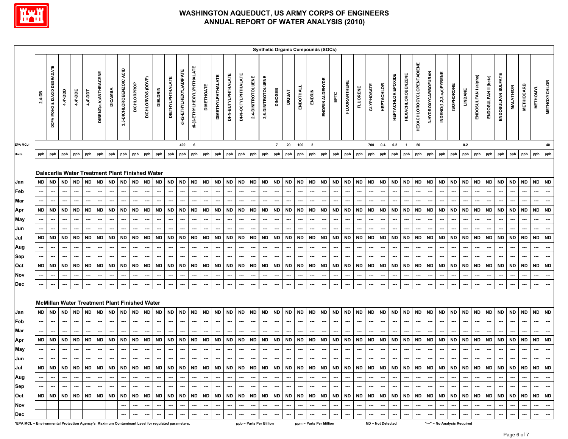

|                                                                                                 |                                                         |                                                                                              |                                                                                                                                                             |                                                                |                                                                                                                 |                                                                              |                                                                              |                                                                              |                                                                                                 |                                                                                                                 |                                                                                            |                                                                                                                                                                                |                                                                                                   |                                                                                                          |                                                                                                   |                                                                                     |                                                                                                   |                                                                                     |                                                                                                   |                                                                                                |                                                                                                                                                           |                                                                                            |                                                                              | <b>Synthetic Organic Compounds (SOCs)</b>                                                         |                                                                                           |                                                                                                   |                                                                                     |                                                                              |                                                                                            |                                                                                                                 |                                                                                            |                                                                                                 |                                                                                                   |                                                                                         |                                                                                                                                             |                                                                                                                 |                                                                                                                                                                                |                                                                              |                                                                              |                                                                       |                                                                                     |                                                                                                   |                                                                              |                                                                                                                                             |
|-------------------------------------------------------------------------------------------------|---------------------------------------------------------|----------------------------------------------------------------------------------------------|-------------------------------------------------------------------------------------------------------------------------------------------------------------|----------------------------------------------------------------|-----------------------------------------------------------------------------------------------------------------|------------------------------------------------------------------------------|------------------------------------------------------------------------------|------------------------------------------------------------------------------|-------------------------------------------------------------------------------------------------|-----------------------------------------------------------------------------------------------------------------|--------------------------------------------------------------------------------------------|--------------------------------------------------------------------------------------------------------------------------------------------------------------------------------|---------------------------------------------------------------------------------------------------|----------------------------------------------------------------------------------------------------------|---------------------------------------------------------------------------------------------------|-------------------------------------------------------------------------------------|---------------------------------------------------------------------------------------------------|-------------------------------------------------------------------------------------|---------------------------------------------------------------------------------------------------|------------------------------------------------------------------------------------------------|-----------------------------------------------------------------------------------------------------------------------------------------------------------|--------------------------------------------------------------------------------------------|------------------------------------------------------------------------------|---------------------------------------------------------------------------------------------------|-------------------------------------------------------------------------------------------|---------------------------------------------------------------------------------------------------|-------------------------------------------------------------------------------------|------------------------------------------------------------------------------|--------------------------------------------------------------------------------------------|-----------------------------------------------------------------------------------------------------------------|--------------------------------------------------------------------------------------------|-------------------------------------------------------------------------------------------------|---------------------------------------------------------------------------------------------------|-----------------------------------------------------------------------------------------|---------------------------------------------------------------------------------------------------------------------------------------------|-----------------------------------------------------------------------------------------------------------------|--------------------------------------------------------------------------------------------------------------------------------------------------------------------------------|------------------------------------------------------------------------------|------------------------------------------------------------------------------|-----------------------------------------------------------------------|-------------------------------------------------------------------------------------|---------------------------------------------------------------------------------------------------|------------------------------------------------------------------------------|---------------------------------------------------------------------------------------------------------------------------------------------|
|                                                                                                 | 2,4-DB                                                  | <b>DCPA MONO &amp; DIACID DEGRADATE</b>                                                      | 4,4'-DDD                                                                                                                                                    | 4,4'-DDE                                                       | 4,4'-DDT                                                                                                        | DIBENZ(a,h)ANTHRACENE                                                        | <b>DICAMBA</b>                                                               | 3,5-DICHLOROBENZOIC ACID                                                     | DICHLORPROP                                                                                     | DICHLORVOS (DDVP)                                                                                               | <b>DIELDRIN</b>                                                                            | <b>DIETHYLPHTHALATE</b>                                                                                                                                                        | di-(2-ETHYLHEXYL)ADIPATE                                                                          | di-(2-ETHYLHEXYL)PHTHALATE                                                                               | <b>DIMETHOATE</b>                                                                                 | <b>DIMETHYLPHTHALATE</b>                                                            | DI-N-BUTYLPHTHALATE                                                                               | DI-N-OCTYLPHTHALATE                                                                 | 2,4-DINITROTOLUENE                                                                                | 2,6-DINITROTOLUENE                                                                             | <b>DINOSEB</b>                                                                                                                                            | <b>DIQUAT</b>                                                                              | ENDOTHALL                                                                    | ENDRIN                                                                                            | ENDRIN ALDEHYDE                                                                           |                                                                                                   | <b>FLUORANTHENE</b>                                                                 | FLUORENE                                                                     | GLYPHOSATE                                                                                 | <b>HEPTACHLOR</b>                                                                                               | <b>HEPTACHLOR EPOXIDE</b>                                                                  | <b>HEXACHLOROBENZENE</b>                                                                        | <b>HEXACHLOROCYCLOPENTADIENE</b>                                                                  | 3-HYDROXYCARBOFURAN                                                                     | INDENO(1,2,3,c,d)PYRENE                                                                                                                     | <b>ISOPHORONE</b>                                                                                               | LINDANE                                                                                                                                                                        | ENDOSULFAN I (alpha)                                                         | ENDOSULFAN II (beta)                                                         | ENDOSULFAN SULFATE                                                    | <b>MALATHION</b>                                                                    | <b>METHIOCARB</b>                                                                                 | <b>METHOMYL</b>                                                              | <b>METHOXYCHLOR</b>                                                                                                                         |
| EPA MCL*                                                                                        |                                                         |                                                                                              |                                                                                                                                                             |                                                                |                                                                                                                 |                                                                              |                                                                              |                                                                              |                                                                                                 |                                                                                                                 |                                                                                            |                                                                                                                                                                                | 400                                                                                               | 6                                                                                                        |                                                                                                   |                                                                                     |                                                                                                   |                                                                                     |                                                                                                   |                                                                                                | $\overline{7}$                                                                                                                                            | 20                                                                                         | 100                                                                          | $\overline{\mathbf{2}}$                                                                           |                                                                                           |                                                                                                   |                                                                                     |                                                                              | 700                                                                                        | 0.4                                                                                                             | 0.2                                                                                        | $\mathbf{1}$                                                                                    | 50                                                                                                |                                                                                         |                                                                                                                                             |                                                                                                                 | 0.2                                                                                                                                                                            |                                                                              |                                                                              |                                                                       |                                                                                     |                                                                                                   |                                                                              | 40                                                                                                                                          |
| Units                                                                                           | ppb                                                     | ppb                                                                                          | ppb                                                                                                                                                         | ppb                                                            | ppb                                                                                                             | ppb                                                                          | ppb                                                                          | ppb                                                                          | ppb                                                                                             | ppb                                                                                                             | ppb                                                                                        | ppb                                                                                                                                                                            | ppb                                                                                               | ppb                                                                                                      | ppb                                                                                               | ppb                                                                                 | ppb                                                                                               | ppb                                                                                 | ppb                                                                                               | ppb                                                                                            | ppb                                                                                                                                                       | ppb                                                                                        | ppb                                                                          | ppb                                                                                               | ppb                                                                                       | ppb                                                                                               | ppb                                                                                 | ppb                                                                          | ppb                                                                                        | ppb                                                                                                             | ppb                                                                                        | ppb                                                                                             | ppb                                                                                               | ppb                                                                                     | ppb                                                                                                                                         | ppb                                                                                                             | ppb                                                                                                                                                                            | ppb                                                                          | ppb                                                                          | ppb                                                                   | ppb                                                                                 | ppb                                                                                               | ppb                                                                          | ppb                                                                                                                                         |
| Jan<br>Feb<br>Mar<br>Apr<br>May<br>Jun<br>Jul<br>Aug<br>Sep<br>Oct<br>Nov<br>Dec                | <b>ND</b><br><b>ND</b><br><b>ND</b><br><b>ND</b><br>--- | <b>ND</b><br>┅<br>---<br><b>ND</b><br><br>---<br><b>ND</b><br>---<br><b>ND</b><br>---<br>--- | Dalecarlia Water Treatment Plant Finished Water<br><b>ND</b><br><b>ND</b><br>---<br>---<br><b>ND</b><br>---<br><b>ND</b><br>---<br>$\hspace{0.05cm} \cdots$ | <b>ND</b><br><b>ND</b><br><b>ND</b><br>---<br><b>ND</b><br>--- | <b>ND</b><br>---<br><b>ND</b><br>---<br>---<br><b>ND</b><br>---<br><b>ND</b><br>---<br>$\overline{\phantom{a}}$ | <b>ND</b><br><b>ND</b><br>---<br>---<br><b>ND</b><br><b>ND</b><br>---<br>--- | <b>ND</b><br><b>ND</b><br>---<br><b>ND</b><br>---<br><b>ND</b><br>---<br>--- | <b>ND</b><br>---<br><b>ND</b><br>---<br><b>ND</b><br><b>ND</b><br>---<br>--- | <b>ND</b><br>⊷<br>---<br><b>ND</b><br>---<br>---<br><b>ND</b><br>---<br><b>ND</b><br>---<br>--- | <b>ND</b><br>$\hspace{0.05cm} \cdots$<br><b>ND</b><br>---<br>---<br><b>ND</b><br>---<br><b>ND</b><br>---<br>--- | <b>ND</b><br>---<br><b>ND</b><br>---<br>---<br><b>ND</b><br>---<br><b>ND</b><br>---<br>--- | <b>ND</b><br>$\overline{\phantom{a}}$<br><b>ND</b><br>---<br>$\hspace{0.05cm} \ldots$<br><b>ND</b><br>$\overline{\phantom{a}}$<br><b>ND</b><br>$\overline{\phantom{a}}$<br>--- | <b>ND</b><br>---<br>---<br><b>ND</b><br>---<br>---<br><b>ND</b><br>---<br><b>ND</b><br>---<br>--- | <b>ND</b><br><b>ND</b><br>---<br>---<br><b>ND</b><br>---<br><b>ND</b><br>$\hspace{0.05cm} \cdots$<br>--- | <b>ND</b><br>---<br><b>ND</b><br>---<br>---<br><b>ND</b><br>---<br>---<br><b>ND</b><br>---<br>--- | <b>ND</b><br>---<br><b>ND</b><br>---<br><b>ND</b><br>---<br><b>ND</b><br>---<br>--- | <b>ND</b><br>---<br><b>ND</b><br>---<br><b>ND</b><br><b>ND</b><br>---<br>$\overline{\phantom{a}}$ | <b>ND</b><br>---<br><b>ND</b><br>---<br><b>ND</b><br>---<br><b>ND</b><br>---<br>--- | <b>ND</b><br>---<br>---<br><b>ND</b><br>---<br>---<br><b>ND</b><br>---<br><b>ND</b><br>---<br>--- | <b>ND</b><br><b></b><br><b>ND</b><br>---<br>---<br><b>ND</b><br>---<br><b>ND</b><br>---<br>--- | <b>ND</b><br>---<br><b>ND</b><br>---<br>---<br><b>ND</b><br>$\hspace{0.05cm} \cdots$<br><b>ND</b><br>$\hspace{0.05cm} \cdots$<br>$\overline{\phantom{a}}$ | <b>ND</b><br>---<br><b>ND</b><br>---<br>---<br><b>ND</b><br>---<br><b>ND</b><br>---<br>--- | <b>ND</b><br><b>ND</b><br>---<br>---<br><b>ND</b><br><b>ND</b><br>---<br>--- | <b>ND</b><br>---<br>---<br><b>ND</b><br>---<br><b>ND</b><br>---<br>---<br><b>ND</b><br>---<br>--- | <b>ND</b><br>---<br>$\sf ND$<br>---<br>---<br><b>ND</b><br>---<br><b>ND</b><br>---<br>--- | <b>ND</b><br>---<br>---<br><b>ND</b><br>---<br>---<br><b>ND</b><br>---<br><b>ND</b><br>---<br>--- | <b>ND</b><br>---<br><b>ND</b><br>---<br><b>ND</b><br>---<br><b>ND</b><br>---<br>--- | <b>ND</b><br><b>ND</b><br>---<br>---<br><b>ND</b><br><b>ND</b><br>---<br>--- | <b>ND</b><br>---<br><b>ND</b><br>---<br>---<br><b>ND</b><br>---<br><b>ND</b><br>---<br>--- | <b>ND</b><br>---<br><b>ND</b><br>---<br>---<br><b>ND</b><br>---<br><b>ND</b><br>---<br>$\overline{\phantom{a}}$ | <b>ND</b><br>---<br><b>ND</b><br>---<br>---<br><b>ND</b><br>---<br><b>ND</b><br>---<br>--- | <b>ND</b><br>--<br>$\sf ND$<br>---<br>---<br><b>ND</b><br>---<br>---<br><b>ND</b><br>---<br>--- | <b>ND</b><br>---<br><b>ND</b><br>---<br><b>ND</b><br><b>ND</b><br>---<br>$\hspace{0.05cm} \cdots$ | <b>ND</b><br>---<br><b>ND</b><br><br>---<br><b>ND</b><br>---<br><b>ND</b><br>---<br>--- | <b>ND</b><br>---<br>$\overline{\phantom{a}}$<br><b>ND</b><br>---<br>---<br><b>ND</b><br>---<br><b>ND</b><br>$\hspace{0.05cm} \cdots$<br>--- | <b>ND</b><br>---<br><b>ND</b><br>$\overline{\phantom{a}}$<br>---<br><b>ND</b><br>---<br><b>ND</b><br>---<br>--- | <b>ND</b><br>$\overline{\phantom{a}}$<br><b>ND</b><br>$\hspace{0.05cm} \ldots$<br>---<br><b>ND</b><br>$\hspace{0.05cm} \ldots$<br><b>ND</b><br>$\overline{\phantom{a}}$<br>--- | <b>ND</b><br>---<br><b>ND</b><br><b>ND</b><br>---<br><b>ND</b><br>---<br>--- | <b>ND</b><br><b>ND</b><br>---<br>---<br><b>ND</b><br><b>ND</b><br>---<br>--- | <b>ND</b><br><b>ND</b><br>---<br><b>ND</b><br><b>ND</b><br>---<br>--- | <b>ND</b><br>---<br><b>ND</b><br>---<br><b>ND</b><br>---<br><b>ND</b><br>---<br>--- | <b>ND</b><br><b>ND</b><br>---<br>---<br><b>ND</b><br><b>ND</b><br>---<br>$\overline{\phantom{a}}$ | <b>ND</b><br>---<br><b>ND</b><br><b>ND</b><br>---<br><b>ND</b><br>---<br>--- | <b>ND</b><br>---<br><b>ND</b><br>---<br>---<br><b>ND</b><br>---<br>---<br><b>ND</b><br>$\overline{\phantom{a}}$<br>$\overline{\phantom{a}}$ |
|                                                                                                 |                                                         |                                                                                              | <b>McMillan Water Treatment Plant Finished Water</b>                                                                                                        |                                                                |                                                                                                                 |                                                                              |                                                                              |                                                                              |                                                                                                 |                                                                                                                 |                                                                                            |                                                                                                                                                                                |                                                                                                   |                                                                                                          |                                                                                                   |                                                                                     |                                                                                                   |                                                                                     |                                                                                                   |                                                                                                |                                                                                                                                                           |                                                                                            |                                                                              |                                                                                                   |                                                                                           |                                                                                                   |                                                                                     |                                                                              |                                                                                            |                                                                                                                 |                                                                                            |                                                                                                 |                                                                                                   |                                                                                         |                                                                                                                                             |                                                                                                                 |                                                                                                                                                                                |                                                                              |                                                                              |                                                                       |                                                                                     |                                                                                                   |                                                                              |                                                                                                                                             |
| Jan                                                                                             | <b>ND</b>                                               | <b>ND</b>                                                                                    | <b>ND</b>                                                                                                                                                   | <b>ND</b>                                                      | <b>ND</b>                                                                                                       | <b>ND</b>                                                                    | <b>ND</b>                                                                    | <b>ND</b>                                                                    | <b>ND</b>                                                                                       | <b>ND</b>                                                                                                       | <b>ND</b>                                                                                  | <b>ND</b>                                                                                                                                                                      | <b>ND</b>                                                                                         | <b>ND</b>                                                                                                | <b>ND</b>                                                                                         | $\sf ND$                                                                            | <b>ND</b>                                                                                         | $\sf ND$                                                                            | <b>ND</b>                                                                                         | <b>ND</b>                                                                                      | ND                                                                                                                                                        | <b>ND</b>                                                                                  | <b>ND</b>                                                                    | <b>ND</b>                                                                                         | <b>ND</b>                                                                                 | <b>ND</b>                                                                                         | <b>ND</b>                                                                           | <b>ND</b>                                                                    | <b>ND</b>                                                                                  | <b>ND</b>                                                                                                       | <b>ND</b>                                                                                  | <b>ND</b>                                                                                       | <b>ND</b>                                                                                         | <b>ND</b>                                                                               | <b>ND</b>                                                                                                                                   | <b>ND</b>                                                                                                       | <b>ND</b>                                                                                                                                                                      | <b>ND</b>                                                                    | <b>ND</b>                                                                    | <b>ND</b>                                                             | <b>ND</b>                                                                           | ND                                                                                                | <b>ND</b>                                                                    | <b>ND</b>                                                                                                                                   |
| Feb<br>Mar                                                                                      |                                                         | ---<br>---                                                                                   | $\hspace{0.05cm} \cdots$<br>---                                                                                                                             |                                                                | ---<br>$\overline{\phantom{a}}$                                                                                 | ---                                                                          | ---                                                                          | ---<br>---                                                                   | ---<br>                                                                                         | $\hspace{0.05cm} \cdots$                                                                                        | ---                                                                                        | ---                                                                                                                                                                            | ---<br>---                                                                                        | ---                                                                                                      | ---<br>---                                                                                        | ---                                                                                 | ---                                                                                               | ---                                                                                 | ---<br>---                                                                                        | ---<br>---                                                                                     | ---                                                                                                                                                       | ---                                                                                        | ---                                                                          | $\hspace{0.05cm} \ldots$                                                                          | ---<br>---                                                                                | ---<br>---                                                                                        | ---                                                                                 | ---                                                                          | ---                                                                                        | ---<br>---                                                                                                      | ---<br>---                                                                                 | ---<br>---                                                                                      | ---                                                                                               | ---                                                                                     | $\hspace{0.05cm} \cdots$                                                                                                                    | ---<br>---                                                                                                      | $\hspace{0.05cm} \ldots$<br>$\hspace{0.05cm} \ldots$                                                                                                                           |                                                                              | ---                                                                          | ---                                                                   | ---                                                                                 | ---<br>---                                                                                        | ---                                                                          | ---<br>---                                                                                                                                  |
| Apr                                                                                             | <b>ND</b>                                               | <b>ND</b>                                                                                    | <b>ND</b>                                                                                                                                                   | <b>ND</b>                                                      | <b>ND</b>                                                                                                       | <b>ND</b>                                                                    | <b>ND</b>                                                                    | <b>ND</b>                                                                    | <b>ND</b>                                                                                       | <b>ND</b>                                                                                                       | <b>ND</b>                                                                                  | <b>ND</b>                                                                                                                                                                      | <b>ND</b>                                                                                         | <b>ND</b>                                                                                                | <b>ND</b>                                                                                         | <b>ND</b>                                                                           | <b>ND</b>                                                                                         | <b>ND</b>                                                                           | <b>ND</b>                                                                                         | <b>ND</b>                                                                                      | <b>ND</b>                                                                                                                                                 | <b>ND</b>                                                                                  | <b>ND</b>                                                                    | <b>ND</b>                                                                                         | <b>ND</b>                                                                                 | <b>ND</b>                                                                                         | <b>ND</b>                                                                           | <b>ND</b>                                                                    | <b>ND</b>                                                                                  | <b>ND</b>                                                                                                       | <b>ND</b>                                                                                  | ND                                                                                              | <b>ND</b>                                                                                         | <b>ND</b>                                                                               | <b>ND</b>                                                                                                                                   | <b>ND</b>                                                                                                       | <b>ND</b>                                                                                                                                                                      | <b>ND</b>                                                                    | <b>ND</b>                                                                    | <b>ND</b>                                                             | <b>ND</b>                                                                           | <b>ND</b>                                                                                         | <b>ND</b>                                                                    | <b>ND</b>                                                                                                                                   |
| May                                                                                             |                                                         | −−                                                                                           | ---                                                                                                                                                         | ---                                                            | $\overline{\phantom{a}}$                                                                                        | ---                                                                          | ---                                                                          | ---                                                                          | …                                                                                               | ---                                                                                                             | ---                                                                                        | ---                                                                                                                                                                            | ---                                                                                               | ---                                                                                                      | ---                                                                                               | ---                                                                                 | ---                                                                                               | ---                                                                                 | ---                                                                                               | ---                                                                                            | ---                                                                                                                                                       | ---                                                                                        | ---                                                                          | $\hspace{0.05cm} \ldots$                                                                          | ---                                                                                       | ---                                                                                               | ---                                                                                 | ---                                                                          | ---                                                                                        | ---                                                                                                             | ---                                                                                        | ---                                                                                             | $\hspace{0.05cm} \cdots$                                                                          | ---                                                                                     | ---                                                                                                                                         | ---                                                                                                             | ---                                                                                                                                                                            | ---                                                                          | ---                                                                          | ---                                                                   |                                                                                     | $\overline{\phantom{a}}$                                                                          |                                                                              | ---                                                                                                                                         |
| Jun                                                                                             |                                                         |                                                                                              |                                                                                                                                                             |                                                                |                                                                                                                 |                                                                              |                                                                              |                                                                              |                                                                                                 |                                                                                                                 |                                                                                            |                                                                                                                                                                                | ---                                                                                               |                                                                                                          |                                                                                                   |                                                                                     |                                                                                                   |                                                                                     |                                                                                                   |                                                                                                | ---                                                                                                                                                       | ---                                                                                        |                                                                              |                                                                                                   |                                                                                           |                                                                                                   |                                                                                     | ---                                                                          |                                                                                            |                                                                                                                 |                                                                                            | ---                                                                                             |                                                                                                   |                                                                                         | ---                                                                                                                                         | ---                                                                                                             | ---                                                                                                                                                                            |                                                                              |                                                                              |                                                                       |                                                                                     |                                                                                                   |                                                                              | $\overline{\phantom{a}}$                                                                                                                    |
| Jul                                                                                             |                                                         |                                                                                              | ND ND ND                                                                                                                                                    |                                                                |                                                                                                                 |                                                                              |                                                                              |                                                                              |                                                                                                 |                                                                                                                 |                                                                                            | ---                                                                                                                                                                            |                                                                                                   |                                                                                                          |                                                                                                   |                                                                                     |                                                                                                   |                                                                                     |                                                                                                   |                                                                                                |                                                                                                                                                           |                                                                                            |                                                                              |                                                                                                   |                                                                                           |                                                                                                   |                                                                                     |                                                                              |                                                                                            |                                                                                                                 |                                                                                            |                                                                                                 |                                                                                                   |                                                                                         |                                                                                                                                             |                                                                                                                 |                                                                                                                                                                                |                                                                              |                                                                              |                                                                       |                                                                                     |                                                                                                   |                                                                              |                                                                                                                                             |
| Aug                                                                                             | $\hspace{0.05cm} \cdots$                                | $\hspace{0.05cm} \cdots$                                                                     | $\hspace{0.05cm} \cdots$                                                                                                                                    | $\hspace{0.05cm} \cdots$                                       |                                                                                                                 | . <b>.</b>                                                                   | $\sim$ $\sim$                                                                |                                                                              | $-1 - 1 - 1 - 1$                                                                                |                                                                                                                 | $\sim$                                                                                     |                                                                                                                                                                                | $\sim$ $\sim$ $\sim$                                                                              | $\sim$                                                                                                   | $\sim$                                                                                            | $- - 1 - - 1$                                                                       |                                                                                                   | المست                                                                               |                                                                                                   | -- - - -                                                                                       | $\sim$                                                                                                                                                    | $\sim$                                                                                     |                                                                              | $\sim$ $\sim$ $\sim$                                                                              | $\sim$                                                                                    | --- 1                                                                                             | <b>1</b> --- 1                                                                      | $\overline{\phantom{a}}$                                                     | $\sim$                                                                                     |                                                                                                                 | $-1-1$                                                                                     | $\sim$                                                                                          | $\sim$                                                                                            | $\begin{array}{ccc} \text{---} & \text{---} \end{array}$                                |                                                                                                                                             | $  -$                                                                                                           | --- 1                                                                                                                                                                          | $\sim$                                                                       | $\overline{\phantom{a}}$                                                     | $\sim$                                                                | $\sim$                                                                              | $\overline{\phantom{a}}$                                                                          | $\sim$                                                                       | $\sim$                                                                                                                                      |
| Sep                                                                                             |                                                         | $-1$                                                                                         | — I                                                                                                                                                         |                                                                |                                                                                                                 |                                                                              |                                                                              |                                                                              |                                                                                                 |                                                                                                                 |                                                                                            |                                                                                                                                                                                |                                                                                                   |                                                                                                          |                                                                                                   |                                                                                     |                                                                                                   |                                                                                     |                                                                                                   |                                                                                                |                                                                                                                                                           |                                                                                            |                                                                              |                                                                                                   |                                                                                           |                                                                                                   |                                                                                     |                                                                              |                                                                                            |                                                                                                                 |                                                                                            |                                                                                                 |                                                                                                   |                                                                                         |                                                                                                                                             |                                                                                                                 |                                                                                                                                                                                | ╵ <u>┄</u> ╽┄╽┄╽┄╽┄╽┄╽┄╽                                                     |                                                                              |                                                                       | ---   ---   ---   ---                                                               |                                                                                                   |                                                                              | $\sim$                                                                                                                                      |
| Oct                                                                                             |                                                         |                                                                                              |                                                                                                                                                             |                                                                |                                                                                                                 |                                                                              |                                                                              |                                                                              |                                                                                                 |                                                                                                                 |                                                                                            |                                                                                                                                                                                |                                                                                                   |                                                                                                          |                                                                                                   |                                                                                     |                                                                                                   |                                                                                     |                                                                                                   |                                                                                                |                                                                                                                                                           |                                                                                            |                                                                              |                                                                                                   |                                                                                           |                                                                                                   |                                                                                     |                                                                              |                                                                                            |                                                                                                                 |                                                                                            |                                                                                                 |                                                                                                   |                                                                                         |                                                                                                                                             |                                                                                                                 |                                                                                                                                                                                |                                                                              |                                                                              |                                                                       |                                                                                     |                                                                                                   |                                                                              |                                                                                                                                             |
| Nov                                                                                             |                                                         |                                                                                              |                                                                                                                                                             |                                                                |                                                                                                                 |                                                                              |                                                                              | $\sim$                                                                       | $\overline{\phantom{a}}$                                                                        | $\overline{\phantom{a}}$                                                                                        | $\hspace{0.05cm} \cdots$                                                                   | $\overline{\phantom{a}}$                                                                                                                                                       | $\sim$                                                                                            | $\sim$                                                                                                   | $\hspace{0.05cm} \ldots$                                                                          | $\sim$                                                                              | $\sim$                                                                                            | $\sim$                                                                              | $\overline{\phantom{a}}$                                                                          | $-$                                                                                            | $---$                                                                                                                                                     | $\sim$                                                                                     | $-1$                                                                         | $\sim$                                                                                            | $\sim$                                                                                    | $\hspace{0.05cm} \ldots$                                                                          | $\hspace{0.05cm} \ldots$                                                            | $\hspace{0.05cm} \cdots$                                                     | $\sim$                                                                                     | $-$                                                                                                             | $\sim$                                                                                     | $\overline{\phantom{a}}$                                                                        | $\sim$                                                                                            | $\sim$                                                                                  | $\hspace{0.05cm} \ldots$                                                                                                                    | $\hspace{0.1mm}-\hspace{0.1mm}-\hspace{0.1mm}-\hspace{0.1mm}$                                                   | $\hspace{0.05cm} \ldots$                                                                                                                                                       | $\sim$                                                                       | $\sim$                                                                       | $\hspace{0.05cm} \cdots$                                              | $\sim$                                                                              | $\hspace{0.05cm} \ldots$                                                                          | $\sim$                                                                       | $\overline{\phantom{a}}$                                                                                                                    |
| Dec                                                                                             |                                                         |                                                                                              |                                                                                                                                                             |                                                                |                                                                                                                 |                                                                              |                                                                              | $\overline{\phantom{a}}$                                                     |                                                                                                 | $\hspace{0.05cm} \ldots$                                                                                        | $\hspace{0.05cm} \ldots$                                                                   | $---$                                                                                                                                                                          | $---$                                                                                             | $\overline{\phantom{a}}$                                                                                 | $\sim$                                                                                            | $\sim$ 1                                                                            | $\sim$                                                                                            | $\sim$                                                                              |                                                                                                   | $\begin{array}{ccc} \text{---} & \text{---} \end{array}$                                       | $\overline{\phantom{a}}$                                                                                                                                  | $\sim$                                                                                     |                                                                              |                                                                                                   | $\sim$                                                                                    | $\overline{\phantom{a}}$                                                                          | $\sim$                                                                              | $\overline{\phantom{a}}$                                                     | $\hspace{0.05cm} \ldots$                                                                   | $-1$                                                                                                            | $\sim$                                                                                     | $\sim$                                                                                          | $\overline{\phantom{a}}$                                                                          |                                                                                         | $\sim$                                                                                                                                      | $\sim$                                                                                                          |                                                                                                                                                                                |                                                                              | $\sim$                                                                       |                                                                       |                                                                                     | $\sim$                                                                                            | $---$                                                                        | $\sim$                                                                                                                                      |
| EPA MCL = Environmental Protection Agency's Maximum Contaminant Level for regulated parameters. |                                                         |                                                                                              |                                                                                                                                                             |                                                                |                                                                                                                 |                                                                              |                                                                              |                                                                              |                                                                                                 |                                                                                                                 |                                                                                            |                                                                                                                                                                                |                                                                                                   |                                                                                                          |                                                                                                   |                                                                                     |                                                                                                   |                                                                                     |                                                                                                   | ppb = Parts Per Billion                                                                        |                                                                                                                                                           |                                                                                            |                                                                              | ppm = Parts Per Million                                                                           |                                                                                           |                                                                                                   |                                                                                     |                                                                              |                                                                                            |                                                                                                                 | <b>ND = Not Detected</b>                                                                   |                                                                                                 |                                                                                                   |                                                                                         |                                                                                                                                             | "---" = No Analysis Required                                                                                    |                                                                                                                                                                                |                                                                              |                                                                              |                                                                       |                                                                                     |                                                                                                   |                                                                              |                                                                                                                                             |